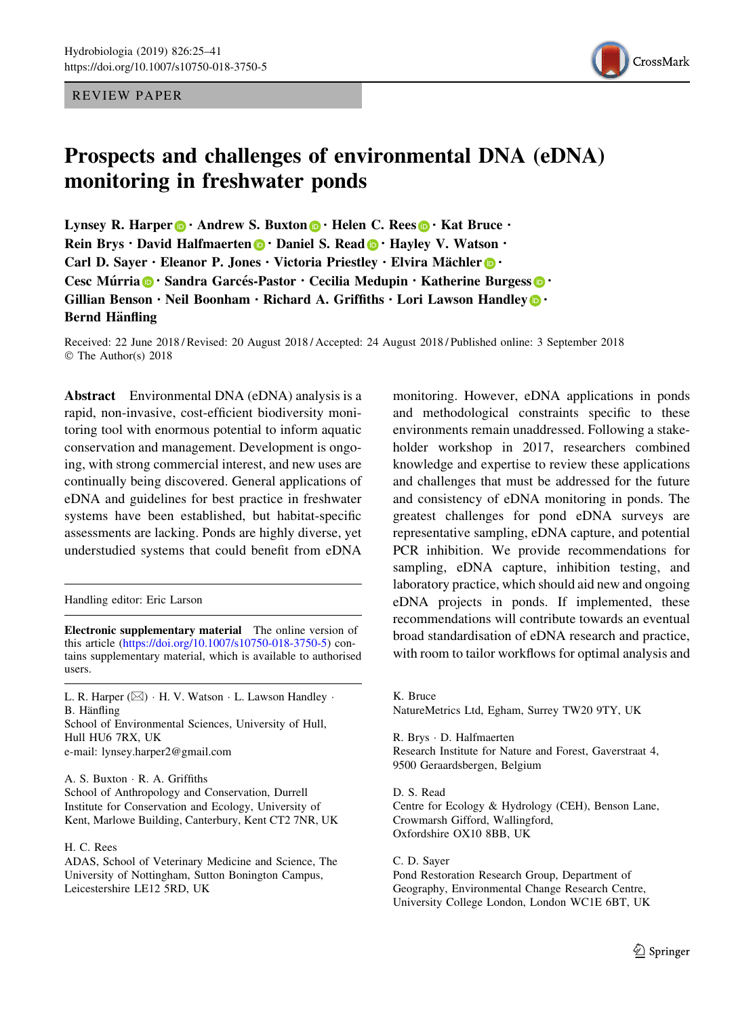REVIEW PAPER



# Prospects and challenges of environmental DNA (eDNA) monitoring in freshwater ponds

Lynsey R. Harper **.** Andrew S. Buxton **.** Helen C. Rees **.** Kat Bruce . Rein Brys  $\cdot$  David Halfmaerten  $\circledcirc \cdot$  Daniel S. Read  $\circledcirc \cdot$  Hayley V. Watson  $\cdot$ Carl D. Sayer · Eleanor P. Jones · Victoria Priestley · Elvira Mächler  $\bigcirc$  · Cesc Múrria  $\bigcirc \cdot$  Sandra Garcés-Pastor  $\cdot$  Cecilia Medupin  $\cdot$  Katherine Burgess  $\bigcirc \cdot$ Gillian Benson  $\cdot$  Neil Boonham  $\cdot$  Richard A. Griffiths  $\cdot$  Lori Lawson Handley  $\cdot$ Bernd Hänfling

Received: 22 June 2018 / Revised: 20 August 2018 / Accepted: 24 August 2018 / Published online: 3 September 2018 © The Author(s) 2018

Abstract Environmental DNA (eDNA) analysis is a rapid, non-invasive, cost-efficient biodiversity monitoring tool with enormous potential to inform aquatic conservation and management. Development is ongoing, with strong commercial interest, and new uses are continually being discovered. General applications of eDNA and guidelines for best practice in freshwater systems have been established, but habitat-specific assessments are lacking. Ponds are highly diverse, yet understudied systems that could benefit from eDNA

Handling editor: Eric Larson

Electronic supplementary material The online version of this article [\(https://doi.org/10.1007/s10750-018-3750-5](https://doi.org/10.1007/s10750-018-3750-5)) contains supplementary material, which is available to authorised users.

L. R. Harper ( $\boxtimes$ ) · H. V. Watson · L. Lawson Handley · B. Hänfling School of Environmental Sciences, University of Hull, Hull HU6 7RX, UK

e-mail: lynsey.harper2@gmail.com

A. S. Buxton - R. A. Griffiths School of Anthropology and Conservation, Durrell Institute for Conservation and Ecology, University of Kent, Marlowe Building, Canterbury, Kent CT2 7NR, UK

#### H. C. Rees

ADAS, School of Veterinary Medicine and Science, The University of Nottingham, Sutton Bonington Campus, Leicestershire LE12 5RD, UK

monitoring. However, eDNA applications in ponds and methodological constraints specific to these environments remain unaddressed. Following a stakeholder workshop in 2017, researchers combined knowledge and expertise to review these applications and challenges that must be addressed for the future and consistency of eDNA monitoring in ponds. The greatest challenges for pond eDNA surveys are representative sampling, eDNA capture, and potential PCR inhibition. We provide recommendations for sampling, eDNA capture, inhibition testing, and laboratory practice, which should aid new and ongoing eDNA projects in ponds. If implemented, these recommendations will contribute towards an eventual broad standardisation of eDNA research and practice, with room to tailor workflows for optimal analysis and

K. Bruce

NatureMetrics Ltd, Egham, Surrey TW20 9TY, UK

R. Brys - D. Halfmaerten Research Institute for Nature and Forest, Gaverstraat 4, 9500 Geraardsbergen, Belgium

D. S. Read Centre for Ecology & Hydrology (CEH), Benson Lane, Crowmarsh Gifford, Wallingford, Oxfordshire OX10 8BB, UK

C. D. Sayer Pond Restoration Research Group, Department of Geography, Environmental Change Research Centre, University College London, London WC1E 6BT, UK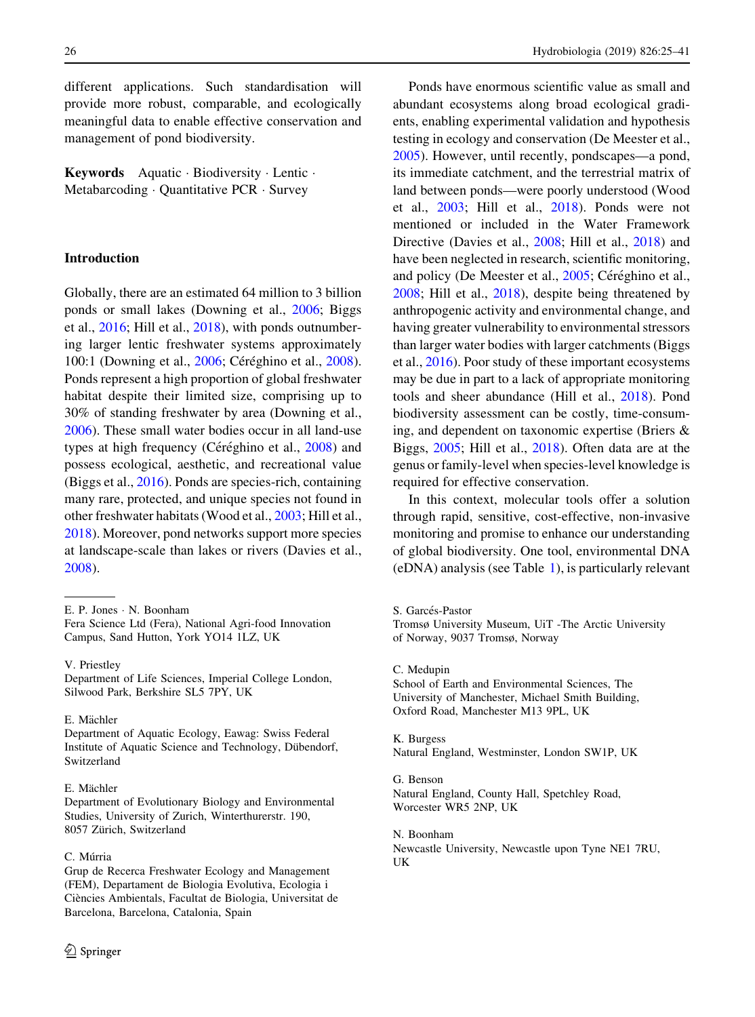different applications. Such standardisation will provide more robust, comparable, and ecologically meaningful data to enable effective conservation and management of pond biodiversity.

**Keywords** Aquatic Biodiversity Lentic  $\cdot$ Metabarcoding - Quantitative PCR - Survey

## Introduction

Globally, there are an estimated 64 million to 3 billion ponds or small lakes (Downing et al., [2006;](#page-13-0) Biggs et al., [2016;](#page-12-0) Hill et al., [2018](#page-13-0)), with ponds outnumbering larger lentic freshwater systems approximately 100:1 (Downing et al., [2006;](#page-13-0) Céréghino et al., [2008](#page-12-0)). Ponds represent a high proportion of global freshwater habitat despite their limited size, comprising up to 30% of standing freshwater by area (Downing et al., [2006\)](#page-13-0). These small water bodies occur in all land-use types at high frequency (Céréghino et al.,  $2008$ ) and possess ecological, aesthetic, and recreational value (Biggs et al., [2016](#page-12-0)). Ponds are species-rich, containing many rare, protected, and unique species not found in other freshwater habitats (Wood et al., [2003;](#page-16-0) Hill et al., [2018\)](#page-13-0). Moreover, pond networks support more species at landscape-scale than lakes or rivers (Davies et al., [2008\)](#page-12-0).

#### E. Mächler

#### C. Múrria

Grup de Recerca Freshwater Ecology and Management (FEM), Departament de Biologia Evolutiva, Ecologia i Ciències Ambientals, Facultat de Biologia, Universitat de Barcelona, Barcelona, Catalonia, Spain

Ponds have enormous scientific value as small and abundant ecosystems along broad ecological gradients, enabling experimental validation and hypothesis testing in ecology and conservation (De Meester et al., [2005\)](#page-12-0). However, until recently, pondscapes—a pond, its immediate catchment, and the terrestrial matrix of land between ponds—were poorly understood (Wood et al., [2003;](#page-16-0) Hill et al., [2018](#page-13-0)). Ponds were not mentioned or included in the Water Framework Directive (Davies et al., [2008;](#page-12-0) Hill et al., [2018\)](#page-13-0) and have been neglected in research, scientific monitoring, and policy (De Meester et al., [2005;](#page-12-0) Céréghino et al., [2008;](#page-12-0) Hill et al., [2018](#page-13-0)), despite being threatened by anthropogenic activity and environmental change, and having greater vulnerability to environmental stressors than larger water bodies with larger catchments (Biggs et al., [2016](#page-12-0)). Poor study of these important ecosystems may be due in part to a lack of appropriate monitoring tools and sheer abundance (Hill et al., [2018\)](#page-13-0). Pond biodiversity assessment can be costly, time-consuming, and dependent on taxonomic expertise (Briers & Biggs, [2005](#page-12-0); Hill et al., [2018\)](#page-13-0). Often data are at the genus or family-level when species-level knowledge is required for effective conservation.

In this context, molecular tools offer a solution through rapid, sensitive, cost-effective, non-invasive monitoring and promise to enhance our understanding of global biodiversity. One tool, environmental DNA (eDNA) analysis (see Table [1](#page-2-0)), is particularly relevant

S. Garcés-Pastor

Tromsø University Museum, UiT -The Arctic University of Norway, 9037 Tromsø, Norway

C. Medupin School of Earth and Environmental Sciences, The University of Manchester, Michael Smith Building, Oxford Road, Manchester M13 9PL, UK

K. Burgess Natural England, Westminster, London SW1P, UK

G. Benson Natural England, County Hall, Spetchley Road, Worcester WR5 2NP, UK

N. Boonham Newcastle University, Newcastle upon Tyne NE1 7RU, UK

E. P. Jones - N. Boonham

Fera Science Ltd (Fera), National Agri-food Innovation Campus, Sand Hutton, York YO14 1LZ, UK

V. Priestley

Department of Life Sciences, Imperial College London, Silwood Park, Berkshire SL5 7PY, UK

E. Mächler

Department of Aquatic Ecology, Eawag: Swiss Federal Institute of Aquatic Science and Technology, Dübendorf, Switzerland

Department of Evolutionary Biology and Environmental Studies, University of Zurich, Winterthurerstr. 190, 8057 Zürich, Switzerland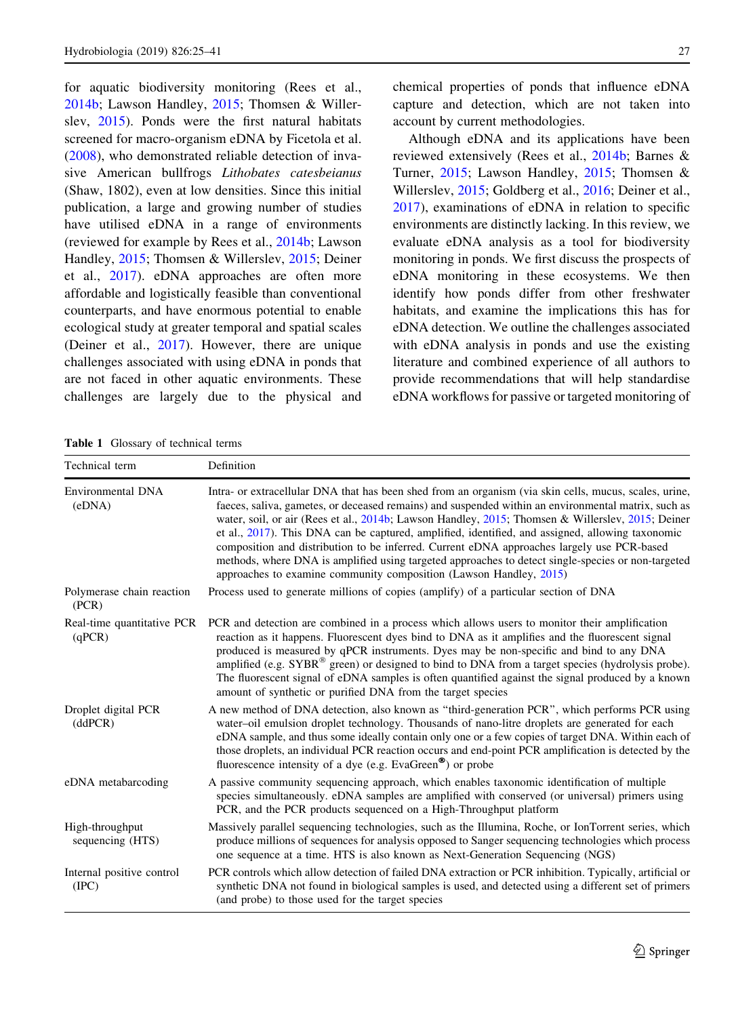<span id="page-2-0"></span>for aquatic biodiversity monitoring (Rees et al., [2014b;](#page-14-0) Lawson Handley, [2015;](#page-14-0) Thomsen & Willerslev, [2015](#page-15-0)). Ponds were the first natural habitats screened for macro-organism eDNA by Ficetola et al. [\(2008](#page-13-0)), who demonstrated reliable detection of invasive American bullfrogs Lithobates catesbeianus (Shaw, 1802), even at low densities. Since this initial publication, a large and growing number of studies have utilised eDNA in a range of environments (reviewed for example by Rees et al., [2014b](#page-14-0); Lawson Handley, [2015;](#page-14-0) Thomsen & Willerslev, [2015](#page-15-0); Deiner et al., [2017](#page-12-0)). eDNA approaches are often more affordable and logistically feasible than conventional counterparts, and have enormous potential to enable ecological study at greater temporal and spatial scales (Deiner et al., [2017](#page-12-0)). However, there are unique challenges associated with using eDNA in ponds that are not faced in other aquatic environments. These challenges are largely due to the physical and

Table 1 Glossary of technical terms

chemical properties of ponds that influence eDNA capture and detection, which are not taken into account by current methodologies.

Although eDNA and its applications have been reviewed extensively (Rees et al., [2014b](#page-14-0); Barnes & Turner, [2015](#page-12-0); Lawson Handley, [2015](#page-14-0); Thomsen & Willerslev, [2015;](#page-15-0) Goldberg et al., [2016;](#page-13-0) Deiner et al., [2017\)](#page-12-0), examinations of eDNA in relation to specific environments are distinctly lacking. In this review, we evaluate eDNA analysis as a tool for biodiversity monitoring in ponds. We first discuss the prospects of eDNA monitoring in these ecosystems. We then identify how ponds differ from other freshwater habitats, and examine the implications this has for eDNA detection. We outline the challenges associated with eDNA analysis in ponds and use the existing literature and combined experience of all authors to provide recommendations that will help standardise eDNA workflows for passive or targeted monitoring of

| Technical term                       | Definition                                                                                                                                                                                                                                                                                                                                                                                                                                                                                                                                                                                                                                                                                          |
|--------------------------------------|-----------------------------------------------------------------------------------------------------------------------------------------------------------------------------------------------------------------------------------------------------------------------------------------------------------------------------------------------------------------------------------------------------------------------------------------------------------------------------------------------------------------------------------------------------------------------------------------------------------------------------------------------------------------------------------------------------|
| Environmental DNA<br>(eDNA)          | Intra- or extracellular DNA that has been shed from an organism (via skin cells, mucus, scales, urine,<br>facces, saliva, gametes, or deceased remains) and suspended within an environmental matrix, such as<br>water, soil, or air (Rees et al., 2014b; Lawson Handley, 2015; Thomsen & Willersley, 2015; Deiner<br>et al., $2017$ ). This DNA can be captured, amplified, identified, and assigned, allowing taxonomic<br>composition and distribution to be inferred. Current eDNA approaches largely use PCR-based<br>methods, where DNA is amplified using targeted approaches to detect single-species or non-targeted<br>approaches to examine community composition (Lawson Handley, 2015) |
| Polymerase chain reaction<br>(PCR)   | Process used to generate millions of copies (amplify) of a particular section of DNA                                                                                                                                                                                                                                                                                                                                                                                                                                                                                                                                                                                                                |
| Real-time quantitative PCR<br>(qPCR) | PCR and detection are combined in a process which allows users to monitor their amplification<br>reaction as it happens. Fluorescent dyes bind to DNA as it amplifies and the fluorescent signal<br>produced is measured by qPCR instruments. Dyes may be non-specific and bind to any DNA<br>amplified (e.g. SYBR® green) or designed to bind to DNA from a target species (hydrolysis probe).<br>The fluorescent signal of eDNA samples is often quantified against the signal produced by a known<br>amount of synthetic or purified DNA from the target species                                                                                                                                 |
| Droplet digital PCR<br>(ddPCR)       | A new method of DNA detection, also known as "third-generation PCR", which performs PCR using<br>water-oil emulsion droplet technology. Thousands of nano-litre droplets are generated for each<br>eDNA sample, and thus some ideally contain only one or a few copies of target DNA. Within each of<br>those droplets, an individual PCR reaction occurs and end-point PCR amplification is detected by the<br>fluorescence intensity of a dye (e.g. EvaGreen <sup>®</sup> ) or probe                                                                                                                                                                                                              |
| eDNA metabarcoding                   | A passive community sequencing approach, which enables taxonomic identification of multiple<br>species simultaneously. eDNA samples are amplified with conserved (or universal) primers using<br>PCR, and the PCR products sequenced on a High-Throughput platform                                                                                                                                                                                                                                                                                                                                                                                                                                  |
| High-throughput<br>sequencing (HTS)  | Massively parallel sequencing technologies, such as the Illumina, Roche, or IonTorrent series, which<br>produce millions of sequences for analysis opposed to Sanger sequencing technologies which process<br>one sequence at a time. HTS is also known as Next-Generation Sequencing (NGS)                                                                                                                                                                                                                                                                                                                                                                                                         |
| Internal positive control<br>(IPC)   | PCR controls which allow detection of failed DNA extraction or PCR inhibition. Typically, artificial or<br>synthetic DNA not found in biological samples is used, and detected using a different set of primers<br>(and probe) to those used for the target species                                                                                                                                                                                                                                                                                                                                                                                                                                 |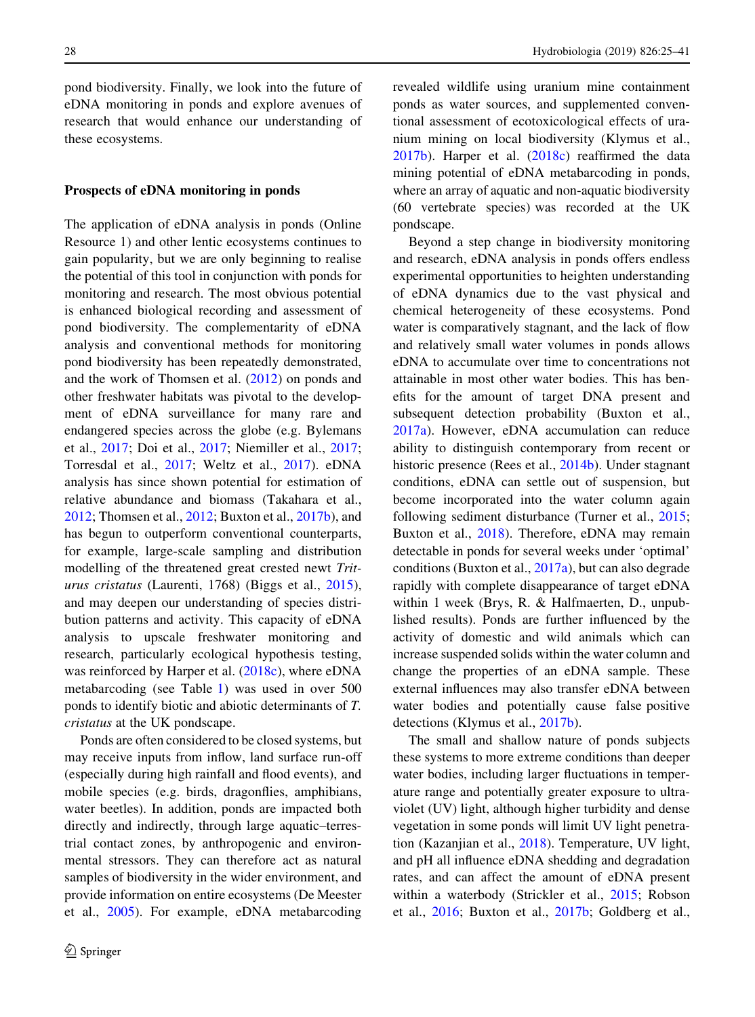pond biodiversity. Finally, we look into the future of eDNA monitoring in ponds and explore avenues of research that would enhance our understanding of these ecosystems.

#### Prospects of eDNA monitoring in ponds

The application of eDNA analysis in ponds (Online Resource 1) and other lentic ecosystems continues to gain popularity, but we are only beginning to realise the potential of this tool in conjunction with ponds for monitoring and research. The most obvious potential is enhanced biological recording and assessment of pond biodiversity. The complementarity of eDNA analysis and conventional methods for monitoring pond biodiversity has been repeatedly demonstrated, and the work of Thomsen et al. [\(2012](#page-15-0)) on ponds and other freshwater habitats was pivotal to the development of eDNA surveillance for many rare and endangered species across the globe (e.g. Bylemans et al., [2017](#page-12-0); Doi et al., [2017;](#page-12-0) Niemiller et al., [2017](#page-14-0); Torresdal et al., [2017](#page-15-0); Weltz et al., [2017](#page-15-0)). eDNA analysis has since shown potential for estimation of relative abundance and biomass (Takahara et al., [2012;](#page-15-0) Thomsen et al., [2012;](#page-15-0) Buxton et al., [2017b\)](#page-12-0), and has begun to outperform conventional counterparts, for example, large-scale sampling and distribution modelling of the threatened great crested newt Triturus cristatus (Laurenti, 1768) (Biggs et al., [2015](#page-12-0)), and may deepen our understanding of species distribution patterns and activity. This capacity of eDNA analysis to upscale freshwater monitoring and research, particularly ecological hypothesis testing, was reinforced by Harper et al. ([2018c\)](#page-13-0), where eDNA metabarcoding (see Table [1](#page-2-0)) was used in over 500 ponds to identify biotic and abiotic determinants of T. cristatus at the UK pondscape.

Ponds are often considered to be closed systems, but may receive inputs from inflow, land surface run-off (especially during high rainfall and flood events), and mobile species (e.g. birds, dragonflies, amphibians, water beetles). In addition, ponds are impacted both directly and indirectly, through large aquatic–terrestrial contact zones, by anthropogenic and environmental stressors. They can therefore act as natural samples of biodiversity in the wider environment, and provide information on entire ecosystems (De Meester et al., [2005\)](#page-12-0). For example, eDNA metabarcoding

revealed wildlife using uranium mine containment ponds as water sources, and supplemented conventional assessment of ecotoxicological effects of uranium mining on local biodiversity (Klymus et al., [2017b\)](#page-14-0). Harper et al. ([2018c](#page-13-0)) reaffirmed the data mining potential of eDNA metabarcoding in ponds, where an array of aquatic and non-aquatic biodiversity (60 vertebrate species) was recorded at the UK pondscape.

Beyond a step change in biodiversity monitoring and research, eDNA analysis in ponds offers endless experimental opportunities to heighten understanding of eDNA dynamics due to the vast physical and chemical heterogeneity of these ecosystems. Pond water is comparatively stagnant, and the lack of flow and relatively small water volumes in ponds allows eDNA to accumulate over time to concentrations not attainable in most other water bodies. This has benefits for the amount of target DNA present and subsequent detection probability (Buxton et al., [2017a](#page-12-0)). However, eDNA accumulation can reduce ability to distinguish contemporary from recent or historic presence (Rees et al., [2014b\)](#page-14-0). Under stagnant conditions, eDNA can settle out of suspension, but become incorporated into the water column again following sediment disturbance (Turner et al., [2015](#page-15-0); Buxton et al., [2018\)](#page-12-0). Therefore, eDNA may remain detectable in ponds for several weeks under 'optimal' conditions (Buxton et al., [2017a\)](#page-12-0), but can also degrade rapidly with complete disappearance of target eDNA within 1 week (Brys, R. & Halfmaerten, D., unpublished results). Ponds are further influenced by the activity of domestic and wild animals which can increase suspended solids within the water column and change the properties of an eDNA sample. These external influences may also transfer eDNA between water bodies and potentially cause false positive detections (Klymus et al., [2017b](#page-14-0)).

The small and shallow nature of ponds subjects these systems to more extreme conditions than deeper water bodies, including larger fluctuations in temperature range and potentially greater exposure to ultraviolet (UV) light, although higher turbidity and dense vegetation in some ponds will limit UV light penetration (Kazanjian et al., [2018](#page-13-0)). Temperature, UV light, and pH all influence eDNA shedding and degradation rates, and can affect the amount of eDNA present within a waterbody (Strickler et al., [2015](#page-15-0); Robson et al., [2016](#page-15-0); Buxton et al., [2017b](#page-12-0); Goldberg et al.,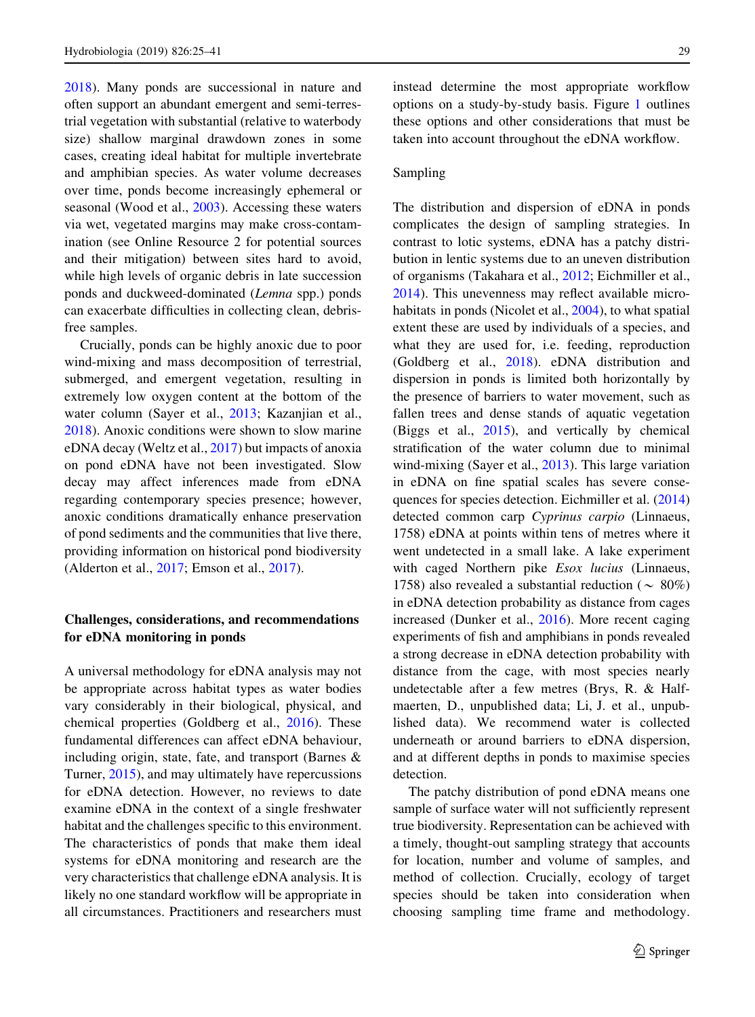[2018\)](#page-13-0). Many ponds are successional in nature and often support an abundant emergent and semi-terrestrial vegetation with substantial (relative to waterbody size) shallow marginal drawdown zones in some cases, creating ideal habitat for multiple invertebrate and amphibian species. As water volume decreases over time, ponds become increasingly ephemeral or seasonal (Wood et al., [2003\)](#page-16-0). Accessing these waters via wet, vegetated margins may make cross-contamination (see Online Resource 2 for potential sources and their mitigation) between sites hard to avoid, while high levels of organic debris in late succession ponds and duckweed-dominated (Lemna spp.) ponds can exacerbate difficulties in collecting clean, debrisfree samples.

Crucially, ponds can be highly anoxic due to poor wind-mixing and mass decomposition of terrestrial, submerged, and emergent vegetation, resulting in extremely low oxygen content at the bottom of the water column (Sayer et al., [2013](#page-15-0); Kazanjian et al., [2018\)](#page-13-0). Anoxic conditions were shown to slow marine eDNA decay (Weltz et al., [2017](#page-15-0)) but impacts of anoxia on pond eDNA have not been investigated. Slow decay may affect inferences made from eDNA regarding contemporary species presence; however, anoxic conditions dramatically enhance preservation of pond sediments and the communities that live there, providing information on historical pond biodiversity (Alderton et al., [2017;](#page-12-0) Emson et al., [2017\)](#page-13-0).

# Challenges, considerations, and recommendations for eDNA monitoring in ponds

A universal methodology for eDNA analysis may not be appropriate across habitat types as water bodies vary considerably in their biological, physical, and chemical properties (Goldberg et al., [2016\)](#page-13-0). These fundamental differences can affect eDNA behaviour, including origin, state, fate, and transport (Barnes & Turner, [2015\)](#page-12-0), and may ultimately have repercussions for eDNA detection. However, no reviews to date examine eDNA in the context of a single freshwater habitat and the challenges specific to this environment. The characteristics of ponds that make them ideal systems for eDNA monitoring and research are the very characteristics that challenge eDNA analysis. It is likely no one standard workflow will be appropriate in all circumstances. Practitioners and researchers must instead determine the most appropriate workflow options on a study-by-study basis. Figure [1](#page-5-0) outlines these options and other considerations that must be taken into account throughout the eDNA workflow.

## Sampling

The distribution and dispersion of eDNA in ponds complicates the design of sampling strategies. In contrast to lotic systems, eDNA has a patchy distribution in lentic systems due to an uneven distribution of organisms (Takahara et al., [2012;](#page-15-0) Eichmiller et al., [2014\)](#page-13-0). This unevenness may reflect available microhabitats in ponds (Nicolet et al., [2004](#page-14-0)), to what spatial extent these are used by individuals of a species, and what they are used for, i.e. feeding, reproduction (Goldberg et al., [2018\)](#page-13-0). eDNA distribution and dispersion in ponds is limited both horizontally by the presence of barriers to water movement, such as fallen trees and dense stands of aquatic vegetation (Biggs et al., [2015](#page-12-0)), and vertically by chemical stratification of the water column due to minimal wind-mixing (Sayer et al., [2013\)](#page-15-0). This large variation in eDNA on fine spatial scales has severe consequences for species detection. Eichmiller et al. [\(2014\)](#page-13-0) detected common carp Cyprinus carpio (Linnaeus, 1758) eDNA at points within tens of metres where it went undetected in a small lake. A lake experiment with caged Northern pike *Esox lucius* (Linnaeus, 1758) also revealed a substantial reduction ( $\sim 80\%$ ) in eDNA detection probability as distance from cages increased (Dunker et al., [2016](#page-13-0)). More recent caging experiments of fish and amphibians in ponds revealed a strong decrease in eDNA detection probability with distance from the cage, with most species nearly undetectable after a few metres (Brys, R. & Halfmaerten, D., unpublished data; Li, J. et al., unpublished data). We recommend water is collected underneath or around barriers to eDNA dispersion, and at different depths in ponds to maximise species detection.

The patchy distribution of pond eDNA means one sample of surface water will not sufficiently represent true biodiversity. Representation can be achieved with a timely, thought-out sampling strategy that accounts for location, number and volume of samples, and method of collection. Crucially, ecology of target species should be taken into consideration when choosing sampling time frame and methodology.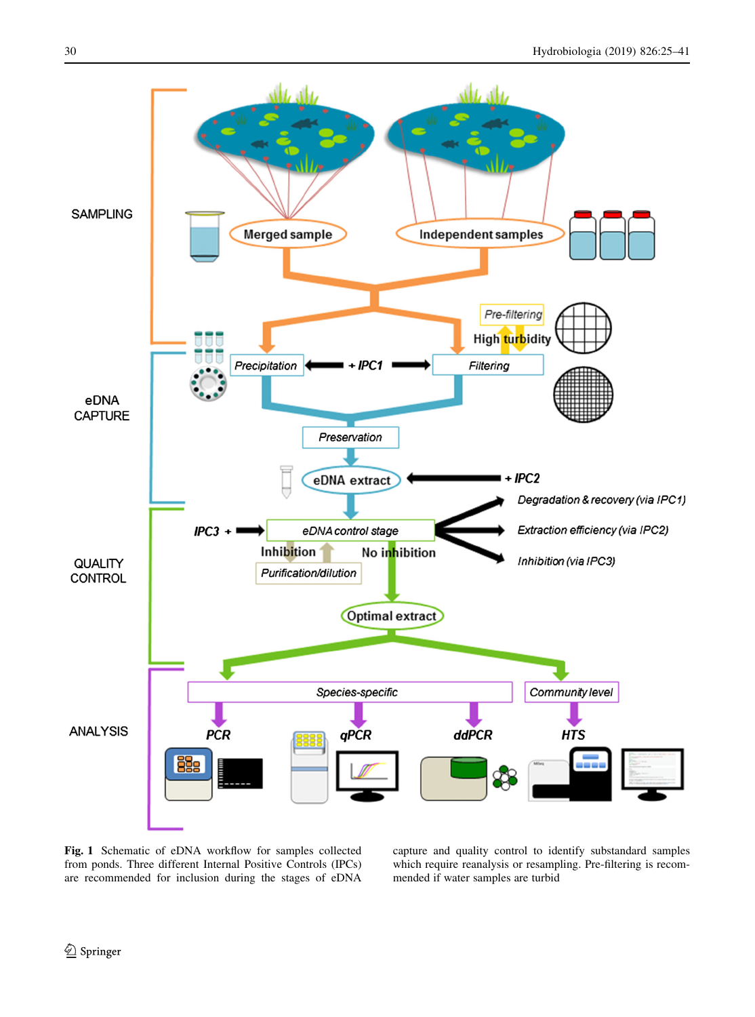<span id="page-5-0"></span>

Fig. 1 Schematic of eDNA workflow for samples collected from ponds. Three different Internal Positive Controls (IPCs) are recommended for inclusion during the stages of eDNA

capture and quality control to identify substandard samples which require reanalysis or resampling. Pre-filtering is recommended if water samples are turbid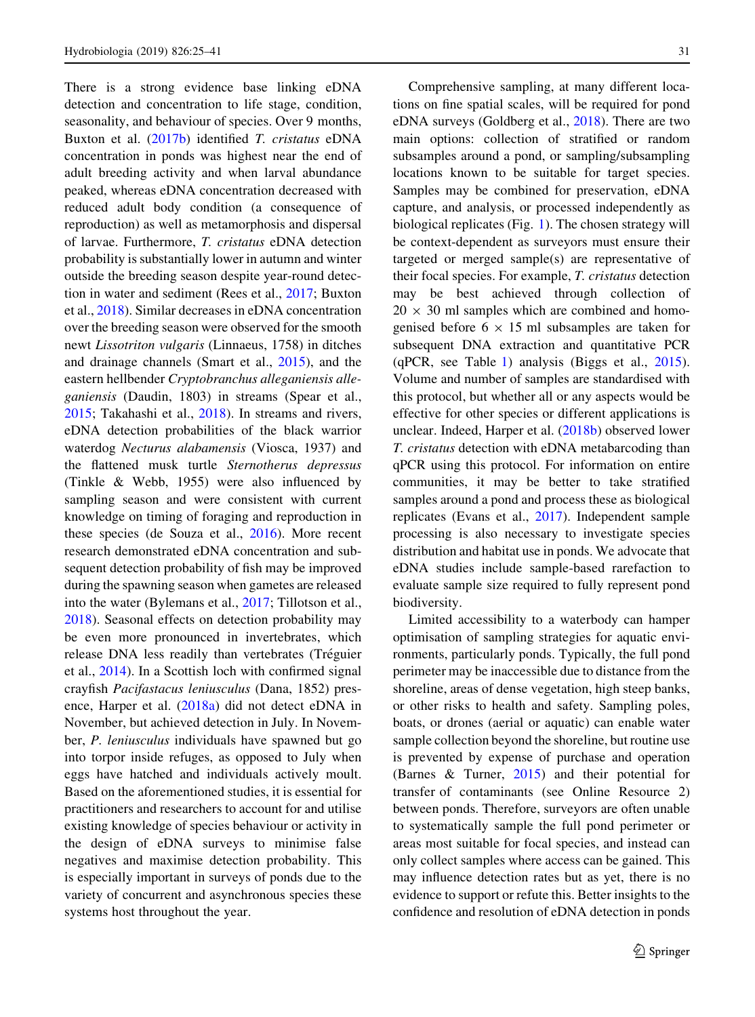There is a strong evidence base linking eDNA detection and concentration to life stage, condition, seasonality, and behaviour of species. Over 9 months, Buxton et al. ([2017b\)](#page-12-0) identified T. cristatus eDNA concentration in ponds was highest near the end of adult breeding activity and when larval abundance peaked, whereas eDNA concentration decreased with reduced adult body condition (a consequence of reproduction) as well as metamorphosis and dispersal of larvae. Furthermore, T. cristatus eDNA detection probability is substantially lower in autumn and winter outside the breeding season despite year-round detection in water and sediment (Rees et al., [2017](#page-14-0); Buxton et al., [2018](#page-12-0)). Similar decreases in eDNA concentration over the breeding season were observed for the smooth newt Lissotriton vulgaris (Linnaeus, 1758) in ditches and drainage channels (Smart et al., [2015\)](#page-15-0), and the eastern hellbender Cryptobranchus alleganiensis alleganiensis (Daudin, 1803) in streams (Spear et al., [2015;](#page-15-0) Takahashi et al., [2018](#page-15-0)). In streams and rivers, eDNA detection probabilities of the black warrior waterdog Necturus alabamensis (Viosca, 1937) and the flattened musk turtle Sternotherus depressus (Tinkle & Webb, 1955) were also influenced by sampling season and were consistent with current knowledge on timing of foraging and reproduction in these species (de Souza et al., [2016\)](#page-12-0). More recent research demonstrated eDNA concentration and subsequent detection probability of fish may be improved during the spawning season when gametes are released into the water (Bylemans et al., [2017;](#page-12-0) Tillotson et al., [2018\)](#page-15-0). Seasonal effects on detection probability may be even more pronounced in invertebrates, which release DNA less readily than vertebrates (Tréguier et al., [2014\)](#page-15-0). In a Scottish loch with confirmed signal crayfish Pacifastacus leniusculus (Dana, 1852) presence, Harper et al. [\(2018a\)](#page-13-0) did not detect eDNA in November, but achieved detection in July. In November, P. leniusculus individuals have spawned but go into torpor inside refuges, as opposed to July when eggs have hatched and individuals actively moult. Based on the aforementioned studies, it is essential for practitioners and researchers to account for and utilise existing knowledge of species behaviour or activity in the design of eDNA surveys to minimise false negatives and maximise detection probability. This is especially important in surveys of ponds due to the variety of concurrent and asynchronous species these systems host throughout the year.

Comprehensive sampling, at many different locations on fine spatial scales, will be required for pond eDNA surveys (Goldberg et al., [2018\)](#page-13-0). There are two main options: collection of stratified or random subsamples around a pond, or sampling/subsampling locations known to be suitable for target species. Samples may be combined for preservation, eDNA capture, and analysis, or processed independently as biological replicates (Fig. [1](#page-5-0)). The chosen strategy will be context-dependent as surveyors must ensure their targeted or merged sample(s) are representative of their focal species. For example, T. cristatus detection may be best achieved through collection of  $20 \times 30$  ml samples which are combined and homogenised before  $6 \times 15$  ml subsamples are taken for subsequent DNA extraction and quantitative PCR (qPCR, see Table [1](#page-2-0)) analysis (Biggs et al., [2015](#page-12-0)). Volume and number of samples are standardised with this protocol, but whether all or any aspects would be effective for other species or different applications is unclear. Indeed, Harper et al. ([2018b\)](#page-13-0) observed lower T. cristatus detection with eDNA metabarcoding than qPCR using this protocol. For information on entire communities, it may be better to take stratified samples around a pond and process these as biological replicates (Evans et al., [2017\)](#page-13-0). Independent sample processing is also necessary to investigate species distribution and habitat use in ponds. We advocate that eDNA studies include sample-based rarefaction to evaluate sample size required to fully represent pond biodiversity.

Limited accessibility to a waterbody can hamper optimisation of sampling strategies for aquatic environments, particularly ponds. Typically, the full pond perimeter may be inaccessible due to distance from the shoreline, areas of dense vegetation, high steep banks, or other risks to health and safety. Sampling poles, boats, or drones (aerial or aquatic) can enable water sample collection beyond the shoreline, but routine use is prevented by expense of purchase and operation (Barnes & Turner, [2015](#page-12-0)) and their potential for transfer of contaminants (see Online Resource 2) between ponds. Therefore, surveyors are often unable to systematically sample the full pond perimeter or areas most suitable for focal species, and instead can only collect samples where access can be gained. This may influence detection rates but as yet, there is no evidence to support or refute this. Better insights to the confidence and resolution of eDNA detection in ponds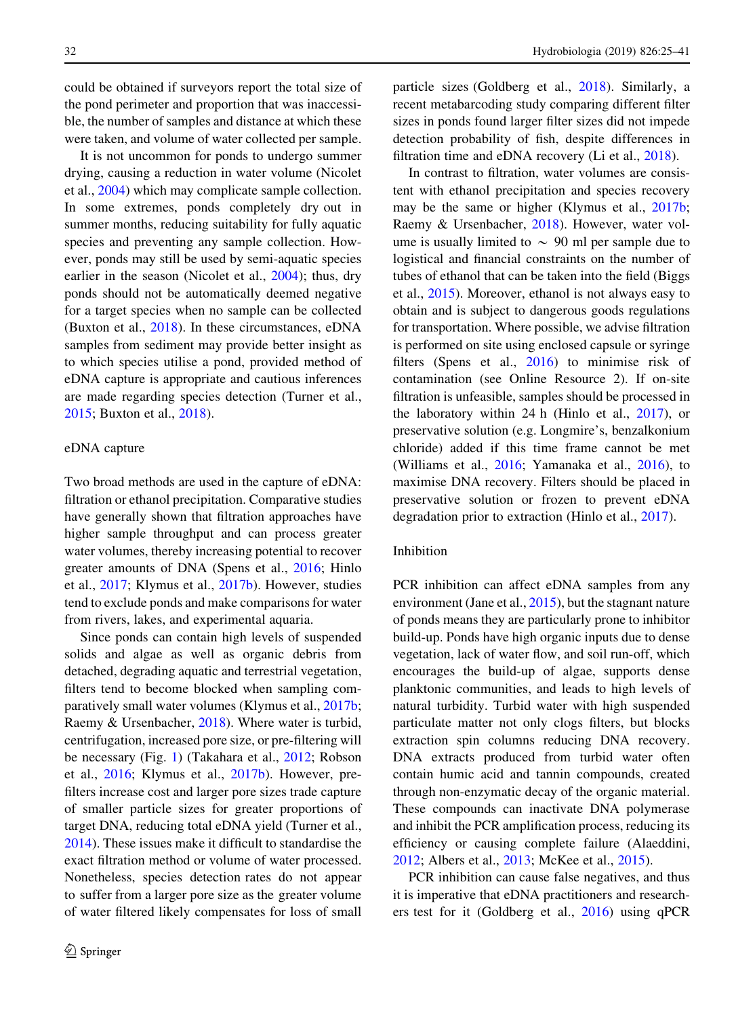could be obtained if surveyors report the total size of the pond perimeter and proportion that was inaccessible, the number of samples and distance at which these were taken, and volume of water collected per sample.

It is not uncommon for ponds to undergo summer drying, causing a reduction in water volume (Nicolet et al., [2004\)](#page-14-0) which may complicate sample collection. In some extremes, ponds completely dry out in summer months, reducing suitability for fully aquatic species and preventing any sample collection. However, ponds may still be used by semi-aquatic species earlier in the season (Nicolet et al., [2004\)](#page-14-0); thus, dry ponds should not be automatically deemed negative for a target species when no sample can be collected (Buxton et al., [2018\)](#page-12-0). In these circumstances, eDNA samples from sediment may provide better insight as to which species utilise a pond, provided method of eDNA capture is appropriate and cautious inferences are made regarding species detection (Turner et al., [2015;](#page-15-0) Buxton et al., [2018\)](#page-12-0).

# eDNA capture

Two broad methods are used in the capture of eDNA: filtration or ethanol precipitation. Comparative studies have generally shown that filtration approaches have higher sample throughput and can process greater water volumes, thereby increasing potential to recover greater amounts of DNA (Spens et al., [2016;](#page-15-0) Hinlo et al., [2017](#page-13-0); Klymus et al., [2017b](#page-14-0)). However, studies tend to exclude ponds and make comparisons for water from rivers, lakes, and experimental aquaria.

Since ponds can contain high levels of suspended solids and algae as well as organic debris from detached, degrading aquatic and terrestrial vegetation, filters tend to become blocked when sampling comparatively small water volumes (Klymus et al., [2017b](#page-14-0); Raemy & Ursenbacher, [2018\)](#page-14-0). Where water is turbid, centrifugation, increased pore size, or pre-filtering will be necessary (Fig. [1](#page-5-0)) (Takahara et al., [2012;](#page-15-0) Robson et al., [2016](#page-15-0); Klymus et al., [2017b](#page-14-0)). However, prefilters increase cost and larger pore sizes trade capture of smaller particle sizes for greater proportions of target DNA, reducing total eDNA yield (Turner et al., [2014\)](#page-15-0). These issues make it difficult to standardise the exact filtration method or volume of water processed. Nonetheless, species detection rates do not appear to suffer from a larger pore size as the greater volume of water filtered likely compensates for loss of small

particle sizes (Goldberg et al., [2018\)](#page-13-0). Similarly, a recent metabarcoding study comparing different filter sizes in ponds found larger filter sizes did not impede detection probability of fish, despite differences in filtration time and eDNA recovery (Li et al., [2018\)](#page-14-0).

In contrast to filtration, water volumes are consistent with ethanol precipitation and species recovery may be the same or higher (Klymus et al., [2017b](#page-14-0); Raemy & Ursenbacher, [2018\)](#page-14-0). However, water volume is usually limited to  $\sim$  90 ml per sample due to logistical and financial constraints on the number of tubes of ethanol that can be taken into the field (Biggs et al., [2015](#page-12-0)). Moreover, ethanol is not always easy to obtain and is subject to dangerous goods regulations for transportation. Where possible, we advise filtration is performed on site using enclosed capsule or syringe filters (Spens et al., [2016](#page-15-0)) to minimise risk of contamination (see Online Resource 2). If on-site filtration is unfeasible, samples should be processed in the laboratory within 24 h (Hinlo et al., [2017](#page-13-0)), or preservative solution (e.g. Longmire's, benzalkonium chloride) added if this time frame cannot be met (Williams et al., [2016](#page-16-0); Yamanaka et al., [2016](#page-16-0)), to maximise DNA recovery. Filters should be placed in preservative solution or frozen to prevent eDNA degradation prior to extraction (Hinlo et al., [2017\)](#page-13-0).

## Inhibition

PCR inhibition can affect eDNA samples from any environment (Jane et al., [2015\)](#page-13-0), but the stagnant nature of ponds means they are particularly prone to inhibitor build-up. Ponds have high organic inputs due to dense vegetation, lack of water flow, and soil run-off, which encourages the build-up of algae, supports dense planktonic communities, and leads to high levels of natural turbidity. Turbid water with high suspended particulate matter not only clogs filters, but blocks extraction spin columns reducing DNA recovery. DNA extracts produced from turbid water often contain humic acid and tannin compounds, created through non-enzymatic decay of the organic material. These compounds can inactivate DNA polymerase and inhibit the PCR amplification process, reducing its efficiency or causing complete failure (Alaeddini, [2012;](#page-11-0) Albers et al., [2013;](#page-12-0) McKee et al., [2015\)](#page-14-0).

PCR inhibition can cause false negatives, and thus it is imperative that eDNA practitioners and researchers test for it (Goldberg et al., [2016\)](#page-13-0) using qPCR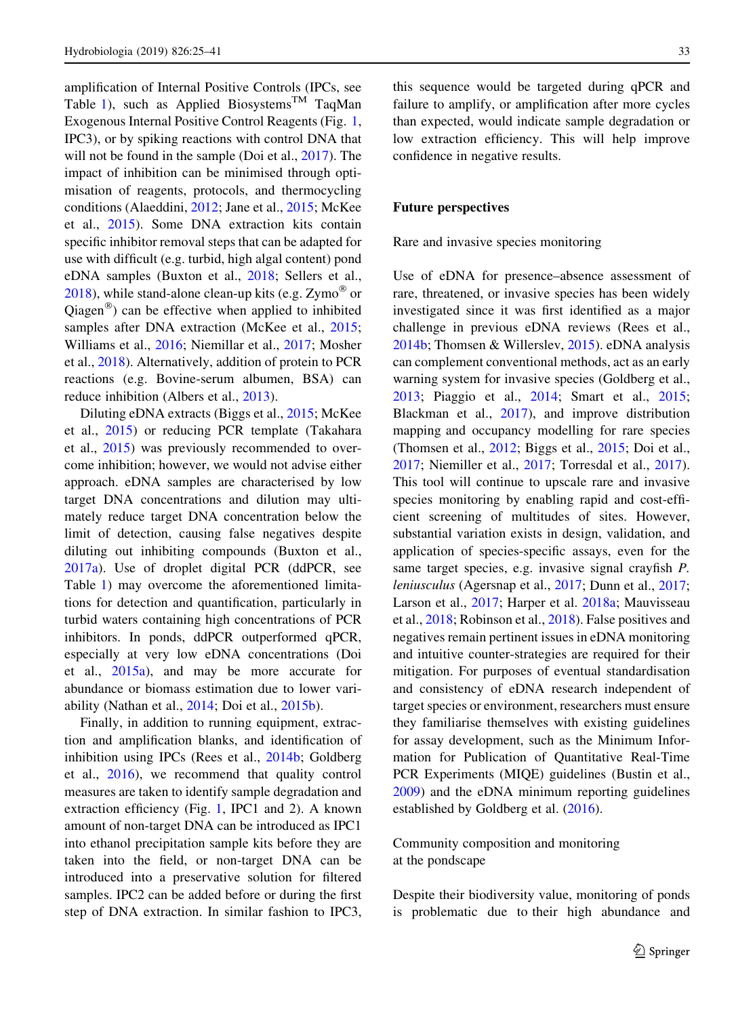amplification of Internal Positive Controls (IPCs, see Table [1\)](#page-2-0), such as Applied Biosystems<sup>TM</sup> TaqMan Exogenous Internal Positive Control Reagents (Fig. [1,](#page-5-0) IPC3), or by spiking reactions with control DNA that will not be found in the sample (Doi et al., [2017](#page-12-0)). The impact of inhibition can be minimised through optimisation of reagents, protocols, and thermocycling conditions (Alaeddini, [2012](#page-11-0); Jane et al., [2015;](#page-13-0) McKee et al., [2015](#page-14-0)). Some DNA extraction kits contain specific inhibitor removal steps that can be adapted for use with difficult (e.g. turbid, high algal content) pond eDNA samples (Buxton et al., [2018](#page-12-0); Sellers et al., [2018\)](#page-15-0), while stand-alone clean-up kits (e.g.  $Zymo^{\circledR}$  or  $Qiagen<sup>®</sup>$  can be effective when applied to inhibited samples after DNA extraction (McKee et al., [2015](#page-14-0); Williams et al., [2016](#page-16-0); Niemillar et al., [2017;](#page-14-0) Mosher et al., [2018\)](#page-14-0). Alternatively, addition of protein to PCR reactions (e.g. Bovine-serum albumen, BSA) can reduce inhibition (Albers et al., [2013\)](#page-12-0).

Diluting eDNA extracts (Biggs et al., [2015;](#page-12-0) McKee et al., [2015](#page-14-0)) or reducing PCR template (Takahara et al., [2015\)](#page-15-0) was previously recommended to overcome inhibition; however, we would not advise either approach. eDNA samples are characterised by low target DNA concentrations and dilution may ultimately reduce target DNA concentration below the limit of detection, causing false negatives despite diluting out inhibiting compounds (Buxton et al., [2017a](#page-12-0)). Use of droplet digital PCR (ddPCR, see Table [1\)](#page-2-0) may overcome the aforementioned limitations for detection and quantification, particularly in turbid waters containing high concentrations of PCR inhibitors. In ponds, ddPCR outperformed qPCR, especially at very low eDNA concentrations (Doi et al., [2015a](#page-12-0)), and may be more accurate for abundance or biomass estimation due to lower variability (Nathan et al., [2014](#page-14-0); Doi et al., [2015b\)](#page-12-0).

Finally, in addition to running equipment, extraction and amplification blanks, and identification of inhibition using IPCs (Rees et al., [2014b;](#page-14-0) Goldberg et al., [2016\)](#page-13-0), we recommend that quality control measures are taken to identify sample degradation and extraction efficiency (Fig. [1](#page-5-0), IPC1 and 2). A known amount of non-target DNA can be introduced as IPC1 into ethanol precipitation sample kits before they are taken into the field, or non-target DNA can be introduced into a preservative solution for filtered samples. IPC2 can be added before or during the first step of DNA extraction. In similar fashion to IPC3,

this sequence would be targeted during qPCR and failure to amplify, or amplification after more cycles than expected, would indicate sample degradation or low extraction efficiency. This will help improve confidence in negative results.

## Future perspectives

Rare and invasive species monitoring

Use of eDNA for presence–absence assessment of rare, threatened, or invasive species has been widely investigated since it was first identified as a major challenge in previous eDNA reviews (Rees et al., [2014b;](#page-14-0) Thomsen & Willerslev, [2015](#page-15-0)). eDNA analysis can complement conventional methods, act as an early warning system for invasive species (Goldberg et al., [2013;](#page-13-0) Piaggio et al., [2014;](#page-14-0) Smart et al., [2015](#page-15-0); Blackman et al., [2017\)](#page-12-0), and improve distribution mapping and occupancy modelling for rare species (Thomsen et al., [2012;](#page-15-0) Biggs et al., [2015](#page-12-0); Doi et al., [2017;](#page-12-0) Niemiller et al., [2017;](#page-14-0) Torresdal et al., [2017](#page-15-0)). This tool will continue to upscale rare and invasive species monitoring by enabling rapid and cost-efficient screening of multitudes of sites. However, substantial variation exists in design, validation, and application of species-specific assays, even for the same target species, e.g. invasive signal crayfish P. leniusculus (Agersnap et al., [2017](#page-11-0); Dunn et al., [2017](#page-13-0); Larson et al., [2017;](#page-14-0) Harper et al. [2018a;](#page-13-0) Mauvisseau et al., [2018](#page-14-0); Robinson et al., [2018](#page-15-0)). False positives and negatives remain pertinent issues in eDNA monitoring and intuitive counter-strategies are required for their mitigation. For purposes of eventual standardisation and consistency of eDNA research independent of target species or environment, researchers must ensure they familiarise themselves with existing guidelines for assay development, such as the Minimum Information for Publication of Quantitative Real-Time PCR Experiments (MIQE) guidelines (Bustin et al., [2009\)](#page-12-0) and the eDNA minimum reporting guidelines established by Goldberg et al. [\(2016](#page-13-0)).

Community composition and monitoring at the pondscape

Despite their biodiversity value, monitoring of ponds is problematic due to their high abundance and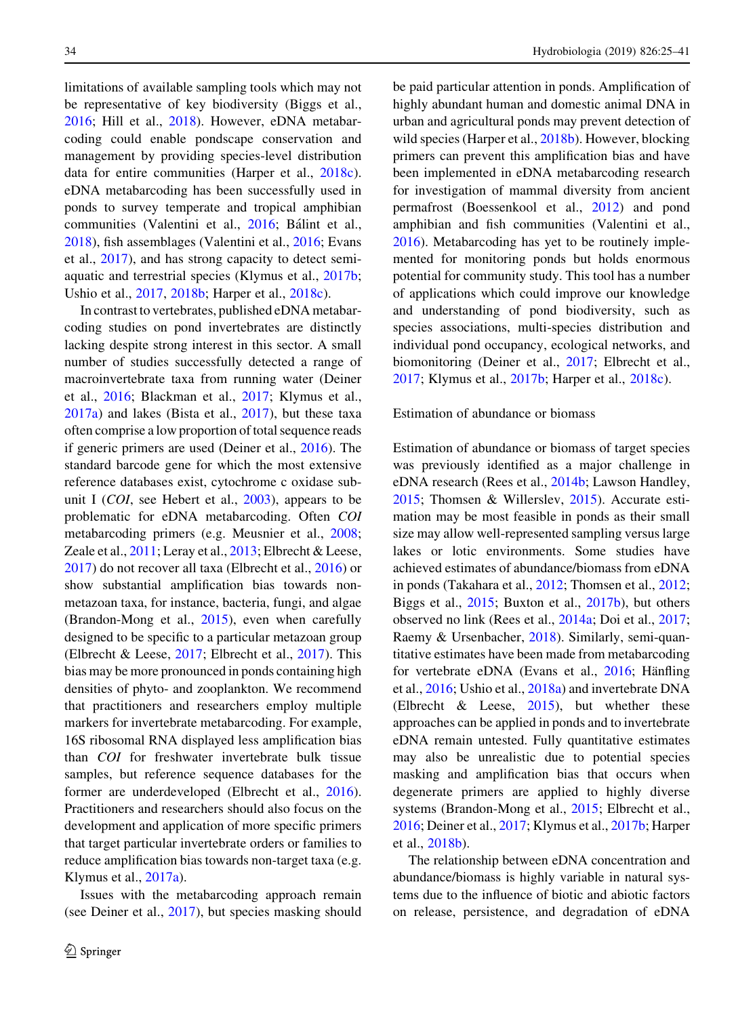limitations of available sampling tools which may not be representative of key biodiversity (Biggs et al., [2016;](#page-12-0) Hill et al., [2018](#page-13-0)). However, eDNA metabarcoding could enable pondscape conservation and management by providing species-level distribution data for entire communities (Harper et al., [2018c](#page-13-0)). eDNA metabarcoding has been successfully used in ponds to survey temperate and tropical amphibian communities (Valentini et al., [2016;](#page-15-0) Bálint et al., [2018\)](#page-12-0), fish assemblages (Valentini et al., [2016](#page-15-0); Evans et al., [2017\)](#page-13-0), and has strong capacity to detect semiaquatic and terrestrial species (Klymus et al., [2017b](#page-14-0); Ushio et al., [2017](#page-15-0), [2018b;](#page-15-0) Harper et al., [2018c](#page-13-0)).

In contrast to vertebrates, published eDNA metabarcoding studies on pond invertebrates are distinctly lacking despite strong interest in this sector. A small number of studies successfully detected a range of macroinvertebrate taxa from running water (Deiner et al., [2016;](#page-12-0) Blackman et al., [2017](#page-12-0); Klymus et al., [2017a](#page-14-0)) and lakes (Bista et al., [2017](#page-12-0)), but these taxa often comprise a low proportion of total sequence reads if generic primers are used (Deiner et al., [2016\)](#page-12-0). The standard barcode gene for which the most extensive reference databases exist, cytochrome c oxidase subunit I  $(COI, see Hebert et al., 2003)$  $(COI, see Hebert et al., 2003)$  $(COI, see Hebert et al., 2003)$ , appears to be problematic for eDNA metabarcoding. Often COI metabarcoding primers (e.g. Meusnier et al., [2008](#page-14-0); Zeale et al., [2011;](#page-16-0) Leray et al., [2013;](#page-14-0) Elbrecht & Leese, [2017\)](#page-13-0) do not recover all taxa (Elbrecht et al., [2016](#page-13-0)) or show substantial amplification bias towards nonmetazoan taxa, for instance, bacteria, fungi, and algae (Brandon-Mong et al., [2015\)](#page-12-0), even when carefully designed to be specific to a particular metazoan group (Elbrecht & Leese, [2017;](#page-13-0) Elbrecht et al., [2017\)](#page-13-0). This bias may be more pronounced in ponds containing high densities of phyto- and zooplankton. We recommend that practitioners and researchers employ multiple markers for invertebrate metabarcoding. For example, 16S ribosomal RNA displayed less amplification bias than COI for freshwater invertebrate bulk tissue samples, but reference sequence databases for the former are underdeveloped (Elbrecht et al., [2016](#page-13-0)). Practitioners and researchers should also focus on the development and application of more specific primers that target particular invertebrate orders or families to reduce amplification bias towards non-target taxa (e.g. Klymus et al., [2017a\)](#page-14-0).

Issues with the metabarcoding approach remain (see Deiner et al., [2017\)](#page-12-0), but species masking should be paid particular attention in ponds. Amplification of highly abundant human and domestic animal DNA in urban and agricultural ponds may prevent detection of wild species (Harper et al., [2018b\)](#page-13-0). However, blocking primers can prevent this amplification bias and have been implemented in eDNA metabarcoding research for investigation of mammal diversity from ancient permafrost (Boessenkool et al., [2012](#page-12-0)) and pond amphibian and fish communities (Valentini et al., [2016\)](#page-15-0). Metabarcoding has yet to be routinely implemented for monitoring ponds but holds enormous potential for community study. This tool has a number of applications which could improve our knowledge and understanding of pond biodiversity, such as species associations, multi-species distribution and individual pond occupancy, ecological networks, and biomonitoring (Deiner et al., [2017](#page-12-0); Elbrecht et al., [2017;](#page-13-0) Klymus et al., [2017b;](#page-14-0) Harper et al., [2018c](#page-13-0)).

## Estimation of abundance or biomass

Estimation of abundance or biomass of target species was previously identified as a major challenge in eDNA research (Rees et al., [2014b](#page-14-0); Lawson Handley, [2015;](#page-14-0) Thomsen & Willerslev, [2015](#page-15-0)). Accurate estimation may be most feasible in ponds as their small size may allow well-represented sampling versus large lakes or lotic environments. Some studies have achieved estimates of abundance/biomass from eDNA in ponds (Takahara et al., [2012](#page-15-0); Thomsen et al., [2012](#page-15-0); Biggs et al., [2015;](#page-12-0) Buxton et al., [2017b\)](#page-12-0), but others observed no link (Rees et al., [2014a](#page-14-0); Doi et al., [2017;](#page-12-0) Raemy & Ursenbacher, [2018](#page-14-0)). Similarly, semi-quantitative estimates have been made from metabarcoding for vertebrate eDNA (Evans et al., [2016;](#page-13-0) Hänfling et al., [2016](#page-13-0); Ushio et al., [2018a](#page-15-0)) and invertebrate DNA (Elbrecht & Leese, [2015](#page-13-0)), but whether these approaches can be applied in ponds and to invertebrate eDNA remain untested. Fully quantitative estimates may also be unrealistic due to potential species masking and amplification bias that occurs when degenerate primers are applied to highly diverse systems (Brandon-Mong et al., [2015](#page-12-0); Elbrecht et al., [2016;](#page-13-0) Deiner et al., [2017;](#page-12-0) Klymus et al., [2017b;](#page-14-0) Harper et al., [2018b\)](#page-13-0).

The relationship between eDNA concentration and abundance/biomass is highly variable in natural systems due to the influence of biotic and abiotic factors on release, persistence, and degradation of eDNA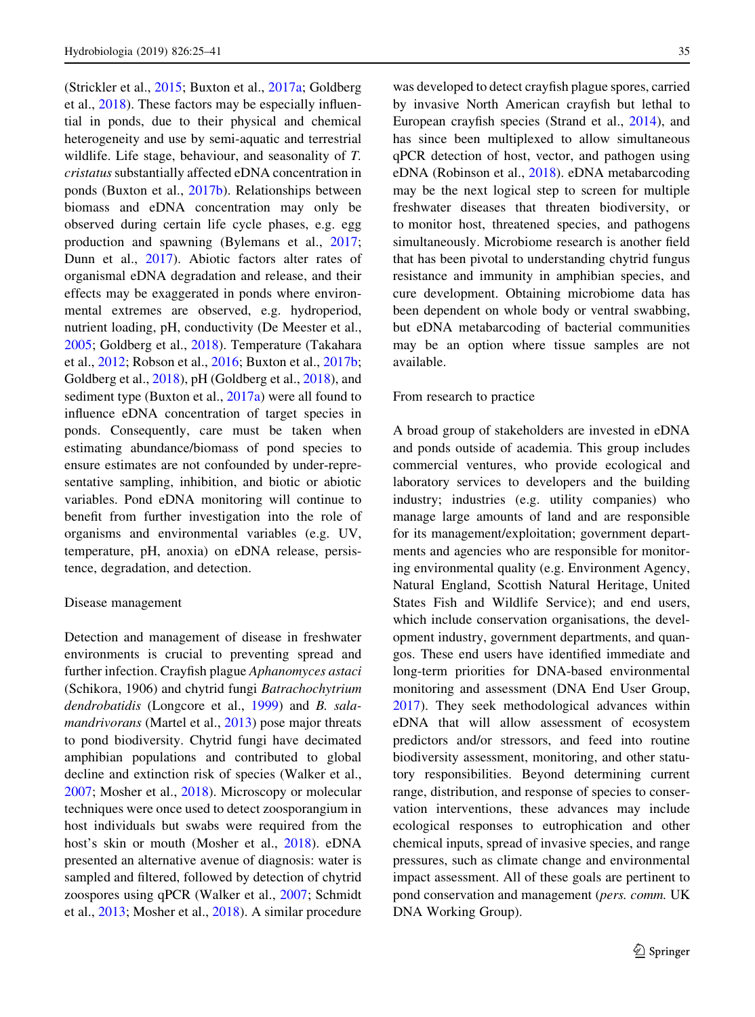(Strickler et al., [2015](#page-15-0); Buxton et al., [2017a](#page-12-0); Goldberg et al., [2018\)](#page-13-0). These factors may be especially influential in ponds, due to their physical and chemical heterogeneity and use by semi-aquatic and terrestrial wildlife. Life stage, behaviour, and seasonality of T. cristatus substantially affected eDNA concentration in ponds (Buxton et al., [2017b\)](#page-12-0). Relationships between biomass and eDNA concentration may only be observed during certain life cycle phases, e.g. egg production and spawning (Bylemans et al., [2017](#page-12-0); Dunn et al., [2017\)](#page-13-0). Abiotic factors alter rates of organismal eDNA degradation and release, and their effects may be exaggerated in ponds where environmental extremes are observed, e.g. hydroperiod, nutrient loading, pH, conductivity (De Meester et al., [2005;](#page-12-0) Goldberg et al., [2018\)](#page-13-0). Temperature (Takahara et al., [2012;](#page-15-0) Robson et al., [2016](#page-15-0); Buxton et al., [2017b](#page-12-0); Goldberg et al., [2018](#page-13-0)), pH (Goldberg et al., [2018\)](#page-13-0), and sediment type (Buxton et al., [2017a\)](#page-12-0) were all found to influence eDNA concentration of target species in ponds. Consequently, care must be taken when estimating abundance/biomass of pond species to ensure estimates are not confounded by under-representative sampling, inhibition, and biotic or abiotic variables. Pond eDNA monitoring will continue to benefit from further investigation into the role of organisms and environmental variables (e.g. UV, temperature, pH, anoxia) on eDNA release, persistence, degradation, and detection.

### Disease management

Detection and management of disease in freshwater environments is crucial to preventing spread and further infection. Crayfish plague Aphanomyces astaci (Schikora, 1906) and chytrid fungi Batrachochytrium dendrobatidis (Longcore et al., [1999\)](#page-14-0) and B. sala-mandrivorans (Martel et al., [2013\)](#page-14-0) pose major threats to pond biodiversity. Chytrid fungi have decimated amphibian populations and contributed to global decline and extinction risk of species (Walker et al., [2007;](#page-15-0) Mosher et al., [2018](#page-14-0)). Microscopy or molecular techniques were once used to detect zoosporangium in host individuals but swabs were required from the host's skin or mouth (Mosher et al., [2018\)](#page-14-0). eDNA presented an alternative avenue of diagnosis: water is sampled and filtered, followed by detection of chytrid zoospores using qPCR (Walker et al., [2007;](#page-15-0) Schmidt et al., [2013](#page-15-0); Mosher et al., [2018\)](#page-14-0). A similar procedure

was developed to detect crayfish plague spores, carried by invasive North American crayfish but lethal to European crayfish species (Strand et al., [2014](#page-15-0)), and has since been multiplexed to allow simultaneous qPCR detection of host, vector, and pathogen using eDNA (Robinson et al., [2018](#page-15-0)). eDNA metabarcoding may be the next logical step to screen for multiple freshwater diseases that threaten biodiversity, or to monitor host, threatened species, and pathogens simultaneously. Microbiome research is another field that has been pivotal to understanding chytrid fungus resistance and immunity in amphibian species, and cure development. Obtaining microbiome data has been dependent on whole body or ventral swabbing, but eDNA metabarcoding of bacterial communities may be an option where tissue samples are not available.

## From research to practice

A broad group of stakeholders are invested in eDNA and ponds outside of academia. This group includes commercial ventures, who provide ecological and laboratory services to developers and the building industry; industries (e.g. utility companies) who manage large amounts of land and are responsible for its management/exploitation; government departments and agencies who are responsible for monitoring environmental quality (e.g. Environment Agency, Natural England, Scottish Natural Heritage, United States Fish and Wildlife Service); and end users, which include conservation organisations, the development industry, government departments, and quangos. These end users have identified immediate and long-term priorities for DNA-based environmental monitoring and assessment (DNA End User Group, [2017\)](#page-12-0). They seek methodological advances within eDNA that will allow assessment of ecosystem predictors and/or stressors, and feed into routine biodiversity assessment, monitoring, and other statutory responsibilities. Beyond determining current range, distribution, and response of species to conservation interventions, these advances may include ecological responses to eutrophication and other chemical inputs, spread of invasive species, and range pressures, such as climate change and environmental impact assessment. All of these goals are pertinent to pond conservation and management (pers. comm. UK DNA Working Group).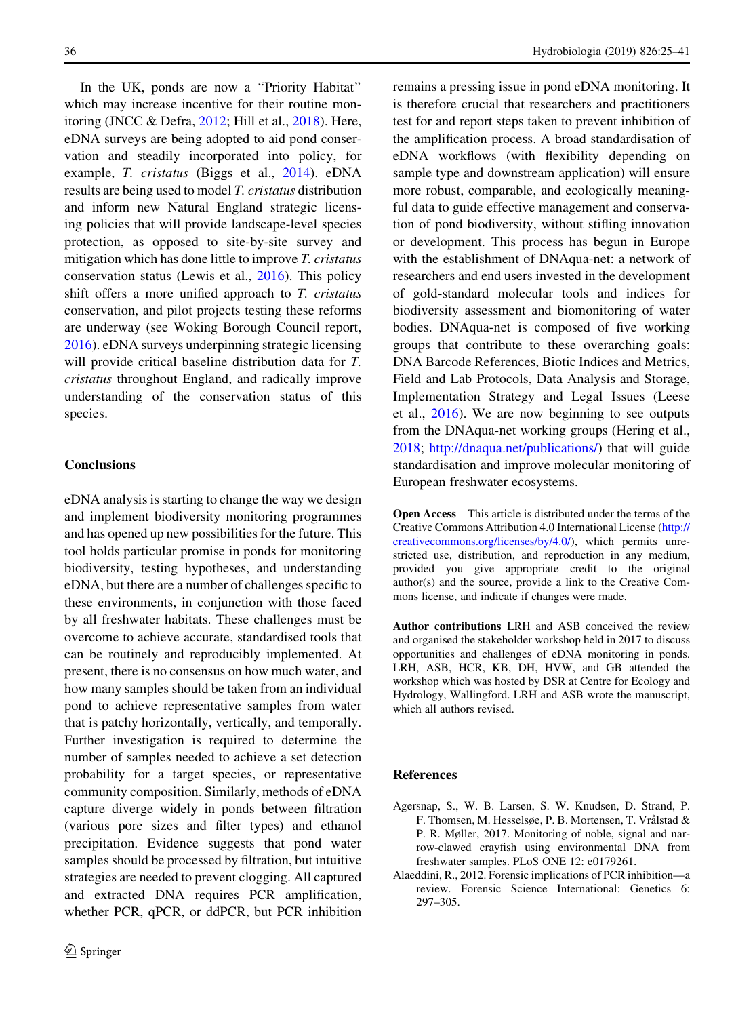<span id="page-11-0"></span>In the UK, ponds are now a "Priority Habitat" which may increase incentive for their routine monitoring (JNCC & Defra, [2012](#page-13-0); Hill et al., [2018\)](#page-13-0). Here, eDNA surveys are being adopted to aid pond conservation and steadily incorporated into policy, for example, T. cristatus (Biggs et al., [2014\)](#page-12-0). eDNA results are being used to model T. cristatus distribution and inform new Natural England strategic licensing policies that will provide landscape-level species protection, as opposed to site-by-site survey and mitigation which has done little to improve T. cristatus conservation status (Lewis et al., [2016](#page-14-0)). This policy shift offers a more unified approach to T. cristatus conservation, and pilot projects testing these reforms are underway (see Woking Borough Council report, [2016\)](#page-16-0). eDNA surveys underpinning strategic licensing will provide critical baseline distribution data for T. cristatus throughout England, and radically improve understanding of the conservation status of this species.

## **Conclusions**

eDNA analysis is starting to change the way we design and implement biodiversity monitoring programmes and has opened up new possibilities for the future. This tool holds particular promise in ponds for monitoring biodiversity, testing hypotheses, and understanding eDNA, but there are a number of challenges specific to these environments, in conjunction with those faced by all freshwater habitats. These challenges must be overcome to achieve accurate, standardised tools that can be routinely and reproducibly implemented. At present, there is no consensus on how much water, and how many samples should be taken from an individual pond to achieve representative samples from water that is patchy horizontally, vertically, and temporally. Further investigation is required to determine the number of samples needed to achieve a set detection probability for a target species, or representative community composition. Similarly, methods of eDNA capture diverge widely in ponds between filtration (various pore sizes and filter types) and ethanol precipitation. Evidence suggests that pond water samples should be processed by filtration, but intuitive strategies are needed to prevent clogging. All captured and extracted DNA requires PCR amplification, whether PCR, qPCR, or ddPCR, but PCR inhibition

remains a pressing issue in pond eDNA monitoring. It is therefore crucial that researchers and practitioners test for and report steps taken to prevent inhibition of the amplification process. A broad standardisation of eDNA workflows (with flexibility depending on sample type and downstream application) will ensure more robust, comparable, and ecologically meaningful data to guide effective management and conservation of pond biodiversity, without stifling innovation or development. This process has begun in Europe with the establishment of DNAqua-net: a network of researchers and end users invested in the development of gold-standard molecular tools and indices for biodiversity assessment and biomonitoring of water bodies. DNAqua-net is composed of five working groups that contribute to these overarching goals: DNA Barcode References, Biotic Indices and Metrics, Field and Lab Protocols, Data Analysis and Storage, Implementation Strategy and Legal Issues (Leese et al., [2016\)](#page-14-0). We are now beginning to see outputs from the DNAqua-net working groups (Hering et al., [2018;](#page-13-0) <http://dnaqua.net/publications/>) that will guide standardisation and improve molecular monitoring of European freshwater ecosystems.

Open Access This article is distributed under the terms of the Creative Commons Attribution 4.0 International License ([http://](http://creativecommons.org/licenses/by/4.0/) [creativecommons.org/licenses/by/4.0/\)](http://creativecommons.org/licenses/by/4.0/), which permits unrestricted use, distribution, and reproduction in any medium, provided you give appropriate credit to the original author(s) and the source, provide a link to the Creative Commons license, and indicate if changes were made.

Author contributions LRH and ASB conceived the review and organised the stakeholder workshop held in 2017 to discuss opportunities and challenges of eDNA monitoring in ponds. LRH, ASB, HCR, KB, DH, HVW, and GB attended the workshop which was hosted by DSR at Centre for Ecology and Hydrology, Wallingford. LRH and ASB wrote the manuscript, which all authors revised.

#### References

- Agersnap, S., W. B. Larsen, S. W. Knudsen, D. Strand, P. F. Thomsen, M. Hesselsøe, P. B. Mortensen, T. Vrålstad & P. R. Møller, 2017. Monitoring of noble, signal and narrow-clawed crayfish using environmental DNA from freshwater samples. PLoS ONE 12: e0179261.
- Alaeddini, R., 2012. Forensic implications of PCR inhibition—a review. Forensic Science International: Genetics 6: 297–305.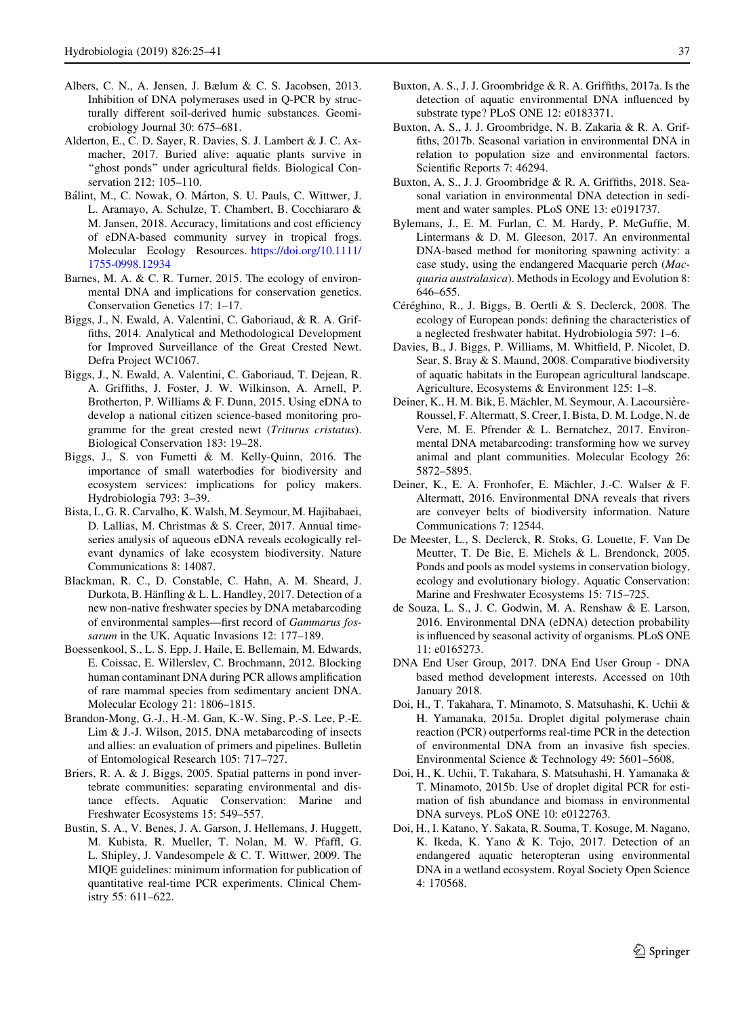- <span id="page-12-0"></span>Albers, C. N., A. Jensen, J. Bælum & C. S. Jacobsen, 2013. Inhibition of DNA polymerases used in Q-PCR by structurally different soil-derived humic substances. Geomicrobiology Journal 30: 675–681.
- Alderton, E., C. D. Sayer, R. Davies, S. J. Lambert & J. C. Axmacher, 2017. Buried alive: aquatic plants survive in ''ghost ponds'' under agricultural fields. Biological Conservation 212: 105–110.
- Bálint, M., C. Nowak, O. Márton, S. U. Pauls, C. Wittwer, J. L. Aramayo, A. Schulze, T. Chambert, B. Cocchiararo & M. Jansen, 2018. Accuracy, limitations and cost efficiency of eDNA-based community survey in tropical frogs. Molecular Ecology Resources. [https://doi.org/10.1111/](https://doi.org/10.1111/1755-0998.12934) [1755-0998.12934](https://doi.org/10.1111/1755-0998.12934)
- Barnes, M. A. & C. R. Turner, 2015. The ecology of environmental DNA and implications for conservation genetics. Conservation Genetics 17: 1–17.
- Biggs, J., N. Ewald, A. Valentini, C. Gaboriaud, & R. A. Griffiths, 2014. Analytical and Methodological Development for Improved Surveillance of the Great Crested Newt. Defra Project WC1067.
- Biggs, J., N. Ewald, A. Valentini, C. Gaboriaud, T. Dejean, R. A. Griffiths, J. Foster, J. W. Wilkinson, A. Arnell, P. Brotherton, P. Williams & F. Dunn, 2015. Using eDNA to develop a national citizen science-based monitoring programme for the great crested newt (Triturus cristatus). Biological Conservation 183: 19–28.
- Biggs, J., S. von Fumetti & M. Kelly-Quinn, 2016. The importance of small waterbodies for biodiversity and ecosystem services: implications for policy makers. Hydrobiologia 793: 3–39.
- Bista, I., G. R. Carvalho, K. Walsh, M. Seymour, M. Hajibabaei, D. Lallias, M. Christmas & S. Creer, 2017. Annual timeseries analysis of aqueous eDNA reveals ecologically relevant dynamics of lake ecosystem biodiversity. Nature Communications 8: 14087.
- Blackman, R. C., D. Constable, C. Hahn, A. M. Sheard, J. Durkota, B. Hänfling & L. L. Handley, 2017. Detection of a new non-native freshwater species by DNA metabarcoding of environmental samples—first record of Gammarus fossarum in the UK. Aquatic Invasions 12: 177–189.
- Boessenkool, S., L. S. Epp, J. Haile, E. Bellemain, M. Edwards, E. Coissac, E. Willerslev, C. Brochmann, 2012. Blocking human contaminant DNA during PCR allows amplification of rare mammal species from sedimentary ancient DNA. Molecular Ecology 21: 1806–1815.
- Brandon-Mong, G.-J., H.-M. Gan, K.-W. Sing, P.-S. Lee, P.-E. Lim & J.-J. Wilson, 2015. DNA metabarcoding of insects and allies: an evaluation of primers and pipelines. Bulletin of Entomological Research 105: 717–727.
- Briers, R. A. & J. Biggs, 2005. Spatial patterns in pond invertebrate communities: separating environmental and distance effects. Aquatic Conservation: Marine and Freshwater Ecosystems 15: 549–557.
- Bustin, S. A., V. Benes, J. A. Garson, J. Hellemans, J. Huggett, M. Kubista, R. Mueller, T. Nolan, M. W. Pfaffl, G. L. Shipley, J. Vandesompele & C. T. Wittwer, 2009. The MIQE guidelines: minimum information for publication of quantitative real-time PCR experiments. Clinical Chemistry 55: 611–622.
- Buxton, A. S., J. J. Groombridge & R. A. Griffiths, 2017a. Is the detection of aquatic environmental DNA influenced by
- substrate type? PLoS ONE 12: e0183371. Buxton, A. S., J. J. Groombridge, N. B. Zakaria & R. A. Griffiths, 2017b. Seasonal variation in environmental DNA in relation to population size and environmental factors. Scientific Reports 7: 46294.
- Buxton, A. S., J. J. Groombridge & R. A. Griffiths, 2018. Seasonal variation in environmental DNA detection in sediment and water samples. PLoS ONE 13: e0191737.
- Bylemans, J., E. M. Furlan, C. M. Hardy, P. McGuffie, M. Lintermans & D. M. Gleeson, 2017. An environmental DNA-based method for monitoring spawning activity: a case study, using the endangered Macquarie perch (Macquaria australasica). Methods in Ecology and Evolution 8: 646–655.
- Céréghino, R., J. Biggs, B. Oertli & S. Declerck, 2008. The ecology of European ponds: defining the characteristics of a neglected freshwater habitat. Hydrobiologia 597: 1–6.
- Davies, B., J. Biggs, P. Williams, M. Whitfield, P. Nicolet, D. Sear, S. Bray & S. Maund, 2008. Comparative biodiversity of aquatic habitats in the European agricultural landscape. Agriculture, Ecosystems & Environment 125: 1–8.
- Deiner, K., H. M. Bik, E. Mächler, M. Seymour, A. Lacoursière-Roussel, F. Altermatt, S. Creer, I. Bista, D. M. Lodge, N. de Vere, M. E. Pfrender & L. Bernatchez, 2017. Environmental DNA metabarcoding: transforming how we survey animal and plant communities. Molecular Ecology 26: 5872–5895.
- Deiner, K., E. A. Fronhofer, E. Mächler, J.-C. Walser & F. Altermatt, 2016. Environmental DNA reveals that rivers are conveyer belts of biodiversity information. Nature Communications 7: 12544.
- De Meester, L., S. Declerck, R. Stoks, G. Louette, F. Van De Meutter, T. De Bie, E. Michels & L. Brendonck, 2005. Ponds and pools as model systems in conservation biology, ecology and evolutionary biology. Aquatic Conservation: Marine and Freshwater Ecosystems 15: 715–725.
- de Souza, L. S., J. C. Godwin, M. A. Renshaw & E. Larson, 2016. Environmental DNA (eDNA) detection probability is influenced by seasonal activity of organisms. PLoS ONE 11: e0165273.
- DNA End User Group, 2017. DNA End User Group DNA based method development interests. Accessed on 10th January 2018.
- Doi, H., T. Takahara, T. Minamoto, S. Matsuhashi, K. Uchii & H. Yamanaka, 2015a. Droplet digital polymerase chain reaction (PCR) outperforms real-time PCR in the detection of environmental DNA from an invasive fish species. Environmental Science & Technology 49: 5601–5608.
- Doi, H., K. Uchii, T. Takahara, S. Matsuhashi, H. Yamanaka & T. Minamoto, 2015b. Use of droplet digital PCR for estimation of fish abundance and biomass in environmental DNA surveys. PLoS ONE 10: e0122763.
- Doi, H., I. Katano, Y. Sakata, R. Souma, T. Kosuge, M. Nagano, K. Ikeda, K. Yano & K. Tojo, 2017. Detection of an endangered aquatic heteropteran using environmental DNA in a wetland ecosystem. Royal Society Open Science 4: 170568.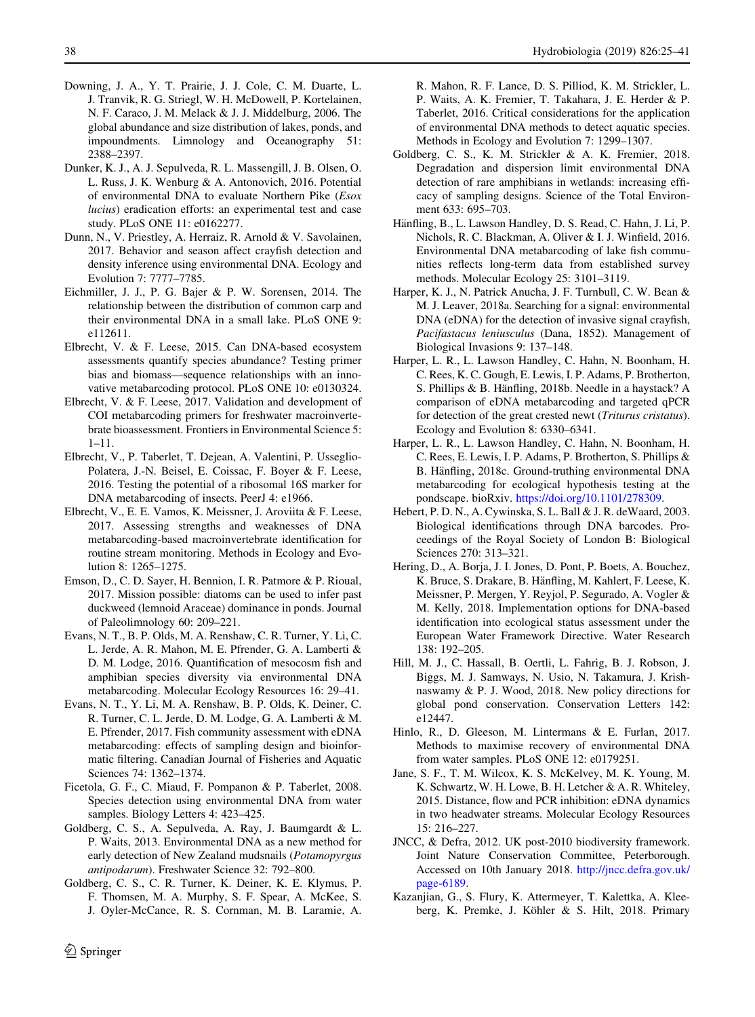- <span id="page-13-0"></span>Downing, J. A., Y. T. Prairie, J. J. Cole, C. M. Duarte, L. J. Tranvik, R. G. Striegl, W. H. McDowell, P. Kortelainen, N. F. Caraco, J. M. Melack & J. J. Middelburg, 2006. The global abundance and size distribution of lakes, ponds, and impoundments. Limnology and Oceanography 51: 2388–2397.
- Dunker, K. J., A. J. Sepulveda, R. L. Massengill, J. B. Olsen, O. L. Russ, J. K. Wenburg & A. Antonovich, 2016. Potential of environmental DNA to evaluate Northern Pike (Esox lucius) eradication efforts: an experimental test and case study. PLoS ONE 11: e0162277.
- Dunn, N., V. Priestley, A. Herraiz, R. Arnold & V. Savolainen, 2017. Behavior and season affect crayfish detection and density inference using environmental DNA. Ecology and Evolution 7: 7777–7785.
- Eichmiller, J. J., P. G. Bajer & P. W. Sorensen, 2014. The relationship between the distribution of common carp and their environmental DNA in a small lake. PLoS ONE 9: e112611.
- Elbrecht, V. & F. Leese, 2015. Can DNA-based ecosystem assessments quantify species abundance? Testing primer bias and biomass—sequence relationships with an innovative metabarcoding protocol. PLoS ONE 10: e0130324.
- Elbrecht, V. & F. Leese, 2017. Validation and development of COI metabarcoding primers for freshwater macroinvertebrate bioassessment. Frontiers in Environmental Science 5: 1–11.
- Elbrecht, V., P. Taberlet, T. Dejean, A. Valentini, P. Usseglio-Polatera, J.-N. Beisel, E. Coissac, F. Boyer & F. Leese, 2016. Testing the potential of a ribosomal 16S marker for DNA metabarcoding of insects. PeerJ 4: e1966.
- Elbrecht, V., E. E. Vamos, K. Meissner, J. Aroviita & F. Leese, 2017. Assessing strengths and weaknesses of DNA metabarcoding-based macroinvertebrate identification for routine stream monitoring. Methods in Ecology and Evolution 8: 1265–1275.
- Emson, D., C. D. Sayer, H. Bennion, I. R. Patmore & P. Rioual, 2017. Mission possible: diatoms can be used to infer past duckweed (lemnoid Araceae) dominance in ponds. Journal of Paleolimnology 60: 209–221.
- Evans, N. T., B. P. Olds, M. A. Renshaw, C. R. Turner, Y. Li, C. L. Jerde, A. R. Mahon, M. E. Pfrender, G. A. Lamberti & D. M. Lodge, 2016. Quantification of mesocosm fish and amphibian species diversity via environmental DNA metabarcoding. Molecular Ecology Resources 16: 29–41.
- Evans, N. T., Y. Li, M. A. Renshaw, B. P. Olds, K. Deiner, C. R. Turner, C. L. Jerde, D. M. Lodge, G. A. Lamberti & M. E. Pfrender, 2017. Fish community assessment with eDNA metabarcoding: effects of sampling design and bioinformatic filtering. Canadian Journal of Fisheries and Aquatic Sciences 74: 1362–1374.
- Ficetola, G. F., C. Miaud, F. Pompanon & P. Taberlet, 2008. Species detection using environmental DNA from water samples. Biology Letters 4: 423–425.
- Goldberg, C. S., A. Sepulveda, A. Ray, J. Baumgardt & L. P. Waits, 2013. Environmental DNA as a new method for early detection of New Zealand mudsnails (Potamopyrgus antipodarum). Freshwater Science 32: 792–800.
- Goldberg, C. S., C. R. Turner, K. Deiner, K. E. Klymus, P. F. Thomsen, M. A. Murphy, S. F. Spear, A. McKee, S. J. Oyler-McCance, R. S. Cornman, M. B. Laramie, A.

R. Mahon, R. F. Lance, D. S. Pilliod, K. M. Strickler, L. P. Waits, A. K. Fremier, T. Takahara, J. E. Herder & P. Taberlet, 2016. Critical considerations for the application of environmental DNA methods to detect aquatic species. Methods in Ecology and Evolution 7: 1299–1307.

- Goldberg, C. S., K. M. Strickler & A. K. Fremier, 2018. Degradation and dispersion limit environmental DNA detection of rare amphibians in wetlands: increasing efficacy of sampling designs. Science of the Total Environment 633: 695–703.
- Hänfling, B., L. Lawson Handley, D. S. Read, C. Hahn, J. Li, P. Nichols, R. C. Blackman, A. Oliver & I. J. Winfield, 2016. Environmental DNA metabarcoding of lake fish communities reflects long-term data from established survey methods. Molecular Ecology 25: 3101–3119.
- Harper, K. J., N. Patrick Anucha, J. F. Turnbull, C. W. Bean & M. J. Leaver, 2018a. Searching for a signal: environmental DNA (eDNA) for the detection of invasive signal crayfish, Pacifastacus leniusculus (Dana, 1852). Management of Biological Invasions 9: 137–148.
- Harper, L. R., L. Lawson Handley, C. Hahn, N. Boonham, H. C. Rees, K. C. Gough, E. Lewis, I. P. Adams, P. Brotherton, S. Phillips & B. Hänfling, 2018b. Needle in a haystack? A comparison of eDNA metabarcoding and targeted qPCR for detection of the great crested newt (Triturus cristatus). Ecology and Evolution 8: 6330–6341.
- Harper, L. R., L. Lawson Handley, C. Hahn, N. Boonham, H. C. Rees, E. Lewis, I. P. Adams, P. Brotherton, S. Phillips & B. Hänfling, 2018c. Ground-truthing environmental DNA metabarcoding for ecological hypothesis testing at the pondscape. bioRxiv. [https://doi.org/10.1101/278309.](https://doi.org/10.1101/278309)
- Hebert, P. D. N., A. Cywinska, S. L. Ball & J. R. deWaard, 2003. Biological identifications through DNA barcodes. Proceedings of the Royal Society of London B: Biological Sciences 270: 313–321.
- Hering, D., A. Borja, J. I. Jones, D. Pont, P. Boets, A. Bouchez, K. Bruce, S. Drakare, B. Hänfling, M. Kahlert, F. Leese, K. Meissner, P. Mergen, Y. Reyjol, P. Segurado, A. Vogler & M. Kelly, 2018. Implementation options for DNA-based identification into ecological status assessment under the European Water Framework Directive. Water Research 138: 192–205.
- Hill, M. J., C. Hassall, B. Oertli, L. Fahrig, B. J. Robson, J. Biggs, M. J. Samways, N. Usio, N. Takamura, J. Krishnaswamy & P. J. Wood, 2018. New policy directions for global pond conservation. Conservation Letters 142: e12447.
- Hinlo, R., D. Gleeson, M. Lintermans & E. Furlan, 2017. Methods to maximise recovery of environmental DNA from water samples. PLoS ONE 12: e0179251.
- Jane, S. F., T. M. Wilcox, K. S. McKelvey, M. K. Young, M. K. Schwartz, W. H. Lowe, B. H. Letcher & A. R. Whiteley, 2015. Distance, flow and PCR inhibition: eDNA dynamics in two headwater streams. Molecular Ecology Resources 15: 216–227.
- JNCC, & Defra, 2012. UK post-2010 biodiversity framework. Joint Nature Conservation Committee, Peterborough. Accessed on 10th January 2018. [http://jncc.defra.gov.uk/](http://jncc.defra.gov.uk/page-6189) [page-6189.](http://jncc.defra.gov.uk/page-6189)
- Kazanjian, G., S. Flury, K. Attermeyer, T. Kalettka, A. Kleeberg, K. Premke, J. Köhler & S. Hilt, 2018. Primary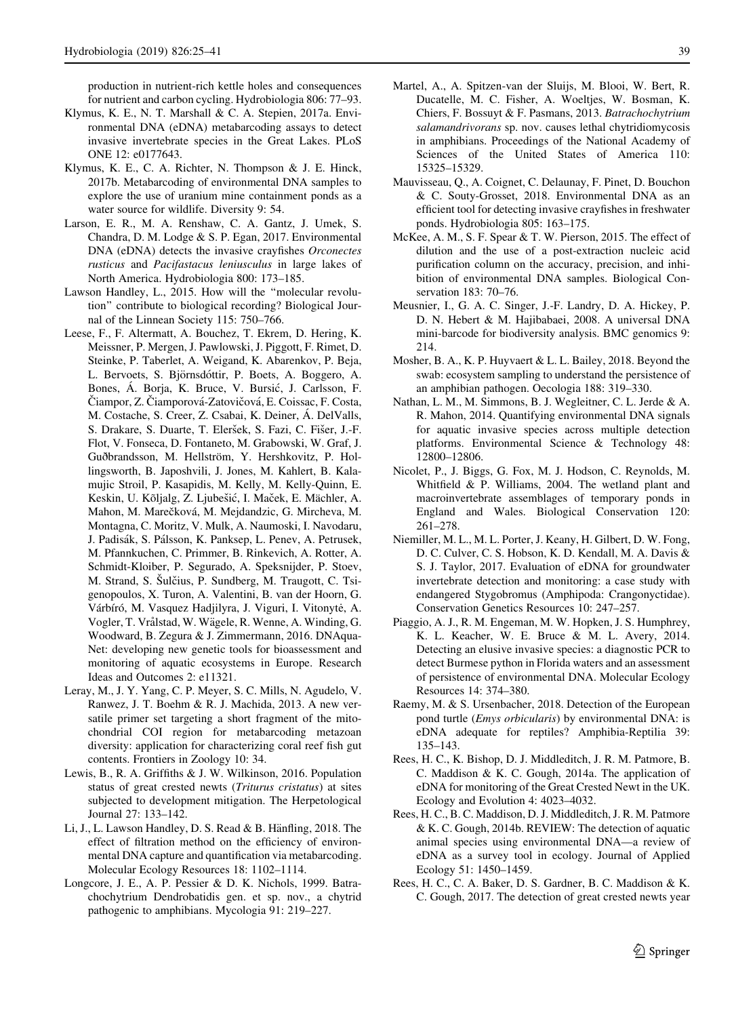<span id="page-14-0"></span>production in nutrient-rich kettle holes and consequences for nutrient and carbon cycling. Hydrobiologia 806: 77–93.

- Klymus, K. E., N. T. Marshall & C. A. Stepien, 2017a. Environmental DNA (eDNA) metabarcoding assays to detect invasive invertebrate species in the Great Lakes. PLoS ONE 12: e0177643.
- Klymus, K. E., C. A. Richter, N. Thompson & J. E. Hinck, 2017b. Metabarcoding of environmental DNA samples to explore the use of uranium mine containment ponds as a water source for wildlife. Diversity 9: 54.
- Larson, E. R., M. A. Renshaw, C. A. Gantz, J. Umek, S. Chandra, D. M. Lodge & S. P. Egan, 2017. Environmental DNA (eDNA) detects the invasive crayfishes Orconectes rusticus and Pacifastacus leniusculus in large lakes of North America. Hydrobiologia 800: 173–185.
- Lawson Handley, L., 2015. How will the ''molecular revolution'' contribute to biological recording? Biological Journal of the Linnean Society 115: 750–766.
- Leese, F., F. Altermatt, A. Bouchez, T. Ekrem, D. Hering, K. Meissner, P. Mergen, J. Pawlowski, J. Piggott, F. Rimet, D. Steinke, P. Taberlet, A. Weigand, K. Abarenkov, P. Beja, L. Bervoets, S. Björnsdóttir, P. Boets, A. Boggero, A. Bones, A. Borja, K. Bruce, V. Bursić, J. Carlsson, F. Ciampor, Z. Ciamporová-Zatovičová, E. Coissac, F. Costa, M. Costache, S. Creer, Z. Csabai, K. Deiner, A. DelValls, S. Drakare, S. Duarte, T. Eleršek, S. Fazi, C. Fišer, J.-F. Flot, V. Fonseca, D. Fontaneto, M. Grabowski, W. Graf, J. Guðbrandsson, M. Hellström, Y. Hershkovitz, P. Hollingsworth, B. Japoshvili, J. Jones, M. Kahlert, B. Kalamujic Stroil, P. Kasapidis, M. Kelly, M. Kelly-Quinn, E. Keskin, U. Kõljalg, Z. Ljubešić, I. Maček, E. Mächler, A. Mahon, M. Marečková, M. Mejdandzic, G. Mircheva, M. Montagna, C. Moritz, V. Mulk, A. Naumoski, I. Navodaru, J. Padisák, S. Pálsson, K. Panksep, L. Penev, A. Petrusek, M. Pfannkuchen, C. Primmer, B. Rinkevich, A. Rotter, A. Schmidt-Kloiber, P. Segurado, A. Speksnijder, P. Stoev, M. Strand, S. Šulčius, P. Sundberg, M. Traugott, C. Tsigenopoulos, X. Turon, A. Valentini, B. van der Hoorn, G. Várbíró, M. Vasquez Hadjilyra, J. Viguri, I. Vitonyte, A. Vogler, T. Vrålstad, W. Wägele, R. Wenne, A. Winding, G. Woodward, B. Zegura & J. Zimmermann, 2016. DNAqua-Net: developing new genetic tools for bioassessment and monitoring of aquatic ecosystems in Europe. Research Ideas and Outcomes 2: e11321.
- Leray, M., J. Y. Yang, C. P. Meyer, S. C. Mills, N. Agudelo, V. Ranwez, J. T. Boehm & R. J. Machida, 2013. A new versatile primer set targeting a short fragment of the mitochondrial COI region for metabarcoding metazoan diversity: application for characterizing coral reef fish gut contents. Frontiers in Zoology 10: 34.
- Lewis, B., R. A. Griffiths & J. W. Wilkinson, 2016. Population status of great crested newts (Triturus cristatus) at sites subjected to development mitigation. The Herpetological Journal 27: 133–142.
- Li, J., L. Lawson Handley, D. S. Read & B. Hänfling, 2018. The effect of filtration method on the efficiency of environmental DNA capture and quantification via metabarcoding. Molecular Ecology Resources 18: 1102–1114.
- Longcore, J. E., A. P. Pessier & D. K. Nichols, 1999. Batrachochytrium Dendrobatidis gen. et sp. nov., a chytrid pathogenic to amphibians. Mycologia 91: 219–227.
- 
- Martel, A., A. Spitzen-van der Sluijs, M. Blooi, W. Bert, R. Ducatelle, M. C. Fisher, A. Woeltjes, W. Bosman, K. Chiers, F. Bossuyt & F. Pasmans, 2013. Batrachochytrium salamandrivorans sp. nov. causes lethal chytridiomycosis in amphibians. Proceedings of the National Academy of Sciences of the United States of America 110: 15325–15329.
- Mauvisseau, Q., A. Coignet, C. Delaunay, F. Pinet, D. Bouchon & C. Souty-Grosset, 2018. Environmental DNA as an efficient tool for detecting invasive crayfishes in freshwater ponds. Hydrobiologia 805: 163–175.
- McKee, A. M., S. F. Spear & T. W. Pierson, 2015. The effect of dilution and the use of a post-extraction nucleic acid purification column on the accuracy, precision, and inhibition of environmental DNA samples. Biological Conservation 183: 70–76.
- Meusnier, I., G. A. C. Singer, J.-F. Landry, D. A. Hickey, P. D. N. Hebert & M. Hajibabaei, 2008. A universal DNA mini-barcode for biodiversity analysis. BMC genomics 9: 214.
- Mosher, B. A., K. P. Huyvaert & L. L. Bailey, 2018. Beyond the swab: ecosystem sampling to understand the persistence of an amphibian pathogen. Oecologia 188: 319–330.
- Nathan, L. M., M. Simmons, B. J. Wegleitner, C. L. Jerde & A. R. Mahon, 2014. Quantifying environmental DNA signals for aquatic invasive species across multiple detection platforms. Environmental Science & Technology 48: 12800–12806.
- Nicolet, P., J. Biggs, G. Fox, M. J. Hodson, C. Reynolds, M. Whitfield & P. Williams, 2004. The wetland plant and macroinvertebrate assemblages of temporary ponds in England and Wales. Biological Conservation 120: 261–278.
- Niemiller, M. L., M. L. Porter, J. Keany, H. Gilbert, D. W. Fong, D. C. Culver, C. S. Hobson, K. D. Kendall, M. A. Davis & S. J. Taylor, 2017. Evaluation of eDNA for groundwater invertebrate detection and monitoring: a case study with endangered Stygobromus (Amphipoda: Crangonyctidae). Conservation Genetics Resources 10: 247–257.
- Piaggio, A. J., R. M. Engeman, M. W. Hopken, J. S. Humphrey, K. L. Keacher, W. E. Bruce & M. L. Avery, 2014. Detecting an elusive invasive species: a diagnostic PCR to detect Burmese python in Florida waters and an assessment of persistence of environmental DNA. Molecular Ecology Resources 14: 374–380.
- Raemy, M. & S. Ursenbacher, 2018. Detection of the European pond turtle (Emys orbicularis) by environmental DNA: is eDNA adequate for reptiles? Amphibia-Reptilia 39: 135–143.
- Rees, H. C., K. Bishop, D. J. Middleditch, J. R. M. Patmore, B. C. Maddison & K. C. Gough, 2014a. The application of eDNA for monitoring of the Great Crested Newt in the UK. Ecology and Evolution 4: 4023–4032.
- Rees, H. C., B. C. Maddison, D. J. Middleditch, J. R. M. Patmore & K. C. Gough, 2014b. REVIEW: The detection of aquatic animal species using environmental DNA—a review of eDNA as a survey tool in ecology. Journal of Applied Ecology 51: 1450–1459.
- Rees, H. C., C. A. Baker, D. S. Gardner, B. C. Maddison & K. C. Gough, 2017. The detection of great crested newts year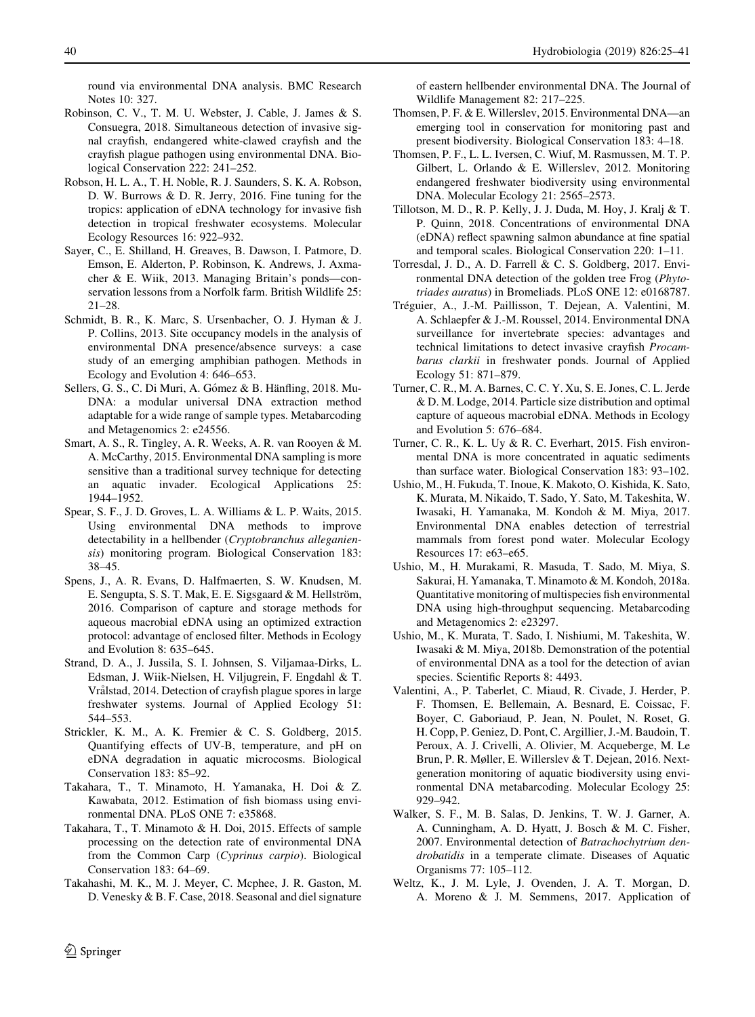<span id="page-15-0"></span>round via environmental DNA analysis. BMC Research Notes 10: 327.

- Robinson, C. V., T. M. U. Webster, J. Cable, J. James & S. Consuegra, 2018. Simultaneous detection of invasive signal crayfish, endangered white-clawed crayfish and the crayfish plague pathogen using environmental DNA. Biological Conservation 222: 241–252.
- Robson, H. L. A., T. H. Noble, R. J. Saunders, S. K. A. Robson, D. W. Burrows & D. R. Jerry, 2016. Fine tuning for the tropics: application of eDNA technology for invasive fish detection in tropical freshwater ecosystems. Molecular Ecology Resources 16: 922–932.
- Sayer, C., E. Shilland, H. Greaves, B. Dawson, I. Patmore, D. Emson, E. Alderton, P. Robinson, K. Andrews, J. Axmacher & E. Wiik, 2013. Managing Britain's ponds—conservation lessons from a Norfolk farm. British Wildlife 25: 21–28.
- Schmidt, B. R., K. Marc, S. Ursenbacher, O. J. Hyman & J. P. Collins, 2013. Site occupancy models in the analysis of environmental DNA presence/absence surveys: a case study of an emerging amphibian pathogen. Methods in Ecology and Evolution 4: 646–653.
- Sellers, G. S., C. Di Muri, A. Gómez & B. Hänfling, 2018. Mu-DNA: a modular universal DNA extraction method adaptable for a wide range of sample types. Metabarcoding and Metagenomics 2: e24556.
- Smart, A. S., R. Tingley, A. R. Weeks, A. R. van Rooyen & M. A. McCarthy, 2015. Environmental DNA sampling is more sensitive than a traditional survey technique for detecting an aquatic invader. Ecological Applications 25: 1944–1952.
- Spear, S. F., J. D. Groves, L. A. Williams & L. P. Waits, 2015. Using environmental DNA methods to improve detectability in a hellbender (Cryptobranchus alleganiensis) monitoring program. Biological Conservation 183: 38–45.
- Spens, J., A. R. Evans, D. Halfmaerten, S. W. Knudsen, M. E. Sengupta, S. S. T. Mak, E. E. Sigsgaard & M. Hellström, 2016. Comparison of capture and storage methods for aqueous macrobial eDNA using an optimized extraction protocol: advantage of enclosed filter. Methods in Ecology and Evolution 8: 635–645.
- Strand, D. A., J. Jussila, S. I. Johnsen, S. Viljamaa-Dirks, L. Edsman, J. Wiik-Nielsen, H. Viljugrein, F. Engdahl & T. Vrålstad, 2014. Detection of crayfish plague spores in large freshwater systems. Journal of Applied Ecology 51: 544–553.
- Strickler, K. M., A. K. Fremier & C. S. Goldberg, 2015. Quantifying effects of UV-B, temperature, and pH on eDNA degradation in aquatic microcosms. Biological Conservation 183: 85–92.
- Takahara, T., T. Minamoto, H. Yamanaka, H. Doi & Z. Kawabata, 2012. Estimation of fish biomass using environmental DNA. PLoS ONE 7: e35868.
- Takahara, T., T. Minamoto & H. Doi, 2015. Effects of sample processing on the detection rate of environmental DNA from the Common Carp (Cyprinus carpio). Biological Conservation 183: 64–69.
- Takahashi, M. K., M. J. Meyer, C. Mcphee, J. R. Gaston, M. D. Venesky & B. F. Case, 2018. Seasonal and diel signature

of eastern hellbender environmental DNA. The Journal of Wildlife Management 82: 217–225.

- Thomsen, P. F. & E. Willerslev, 2015. Environmental DNA—an emerging tool in conservation for monitoring past and present biodiversity. Biological Conservation 183: 4–18.
- Thomsen, P. F., L. L. Iversen, C. Wiuf, M. Rasmussen, M. T. P. Gilbert, L. Orlando & E. Willerslev, 2012. Monitoring endangered freshwater biodiversity using environmental DNA. Molecular Ecology 21: 2565–2573.
- Tillotson, M. D., R. P. Kelly, J. J. Duda, M. Hoy, J. Kralj & T. P. Quinn, 2018. Concentrations of environmental DNA (eDNA) reflect spawning salmon abundance at fine spatial and temporal scales. Biological Conservation 220: 1–11.
- Torresdal, J. D., A. D. Farrell & C. S. Goldberg, 2017. Environmental DNA detection of the golden tree Frog (Phytotriades auratus) in Bromeliads. PLoS ONE 12: e0168787.
- Tréguier, A., J.-M. Paillisson, T. Dejean, A. Valentini, M. A. Schlaepfer & J.-M. Roussel, 2014. Environmental DNA surveillance for invertebrate species: advantages and technical limitations to detect invasive crayfish Procambarus clarkii in freshwater ponds. Journal of Applied Ecology 51: 871–879.
- Turner, C. R., M. A. Barnes, C. C. Y. Xu, S. E. Jones, C. L. Jerde & D. M. Lodge, 2014. Particle size distribution and optimal capture of aqueous macrobial eDNA. Methods in Ecology and Evolution 5: 676–684.
- Turner, C. R., K. L. Uy & R. C. Everhart, 2015. Fish environmental DNA is more concentrated in aquatic sediments than surface water. Biological Conservation 183: 93–102.
- Ushio, M., H. Fukuda, T. Inoue, K. Makoto, O. Kishida, K. Sato, K. Murata, M. Nikaido, T. Sado, Y. Sato, M. Takeshita, W. Iwasaki, H. Yamanaka, M. Kondoh & M. Miya, 2017. Environmental DNA enables detection of terrestrial mammals from forest pond water. Molecular Ecology Resources 17: e63–e65.
- Ushio, M., H. Murakami, R. Masuda, T. Sado, M. Miya, S. Sakurai, H. Yamanaka, T. Minamoto & M. Kondoh, 2018a. Quantitative monitoring of multispecies fish environmental DNA using high-throughput sequencing. Metabarcoding and Metagenomics 2: e23297.
- Ushio, M., K. Murata, T. Sado, I. Nishiumi, M. Takeshita, W. Iwasaki & M. Miya, 2018b. Demonstration of the potential of environmental DNA as a tool for the detection of avian species. Scientific Reports 8: 4493.
- Valentini, A., P. Taberlet, C. Miaud, R. Civade, J. Herder, P. F. Thomsen, E. Bellemain, A. Besnard, E. Coissac, F. Boyer, C. Gaboriaud, P. Jean, N. Poulet, N. Roset, G. H. Copp, P. Geniez, D. Pont, C. Argillier, J.-M. Baudoin, T. Peroux, A. J. Crivelli, A. Olivier, M. Acqueberge, M. Le Brun, P. R. Møller, E. Willerslev & T. Dejean, 2016. Nextgeneration monitoring of aquatic biodiversity using environmental DNA metabarcoding. Molecular Ecology 25: 929–942.
- Walker, S. F., M. B. Salas, D. Jenkins, T. W. J. Garner, A. A. Cunningham, A. D. Hyatt, J. Bosch & M. C. Fisher, 2007. Environmental detection of Batrachochytrium dendrobatidis in a temperate climate. Diseases of Aquatic Organisms 77: 105–112.
- Weltz, K., J. M. Lyle, J. Ovenden, J. A. T. Morgan, D. A. Moreno & J. M. Semmens, 2017. Application of